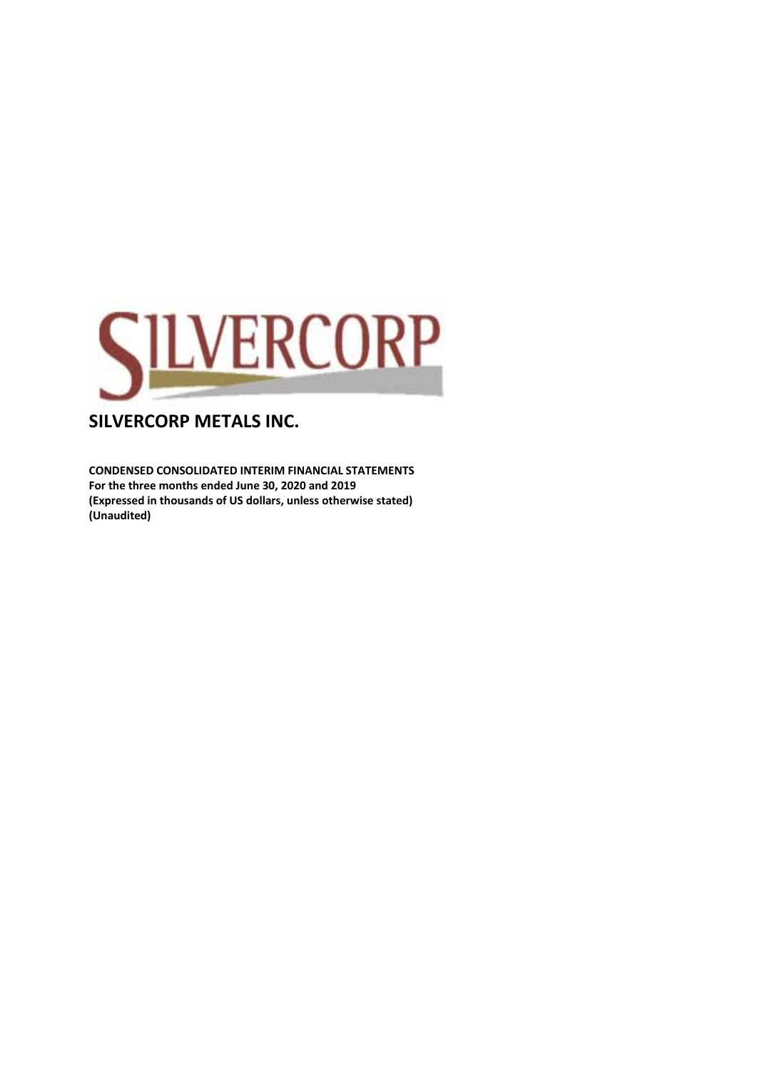

**CONDENSED CONSOLIDATED INTERIM FINANCIAL STATEMENTS For the three months ended June 30, 2020 and 2019 (Expressed in thousands of US dollars, unless otherwise stated) (Unaudited)**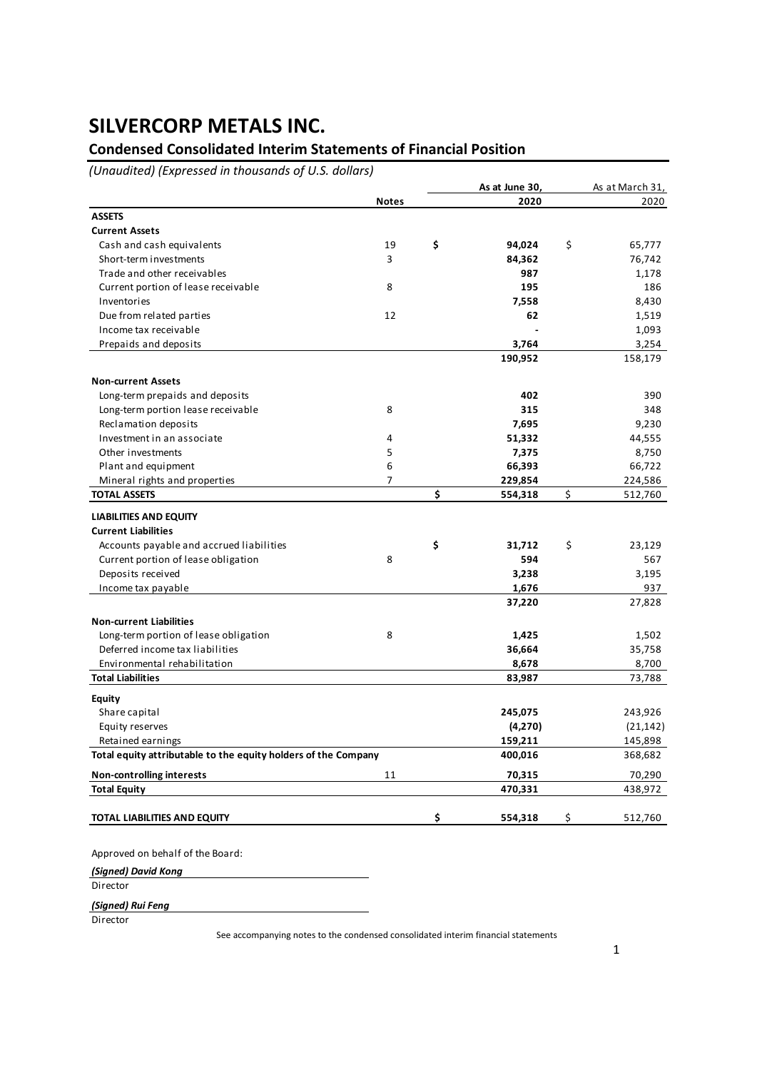## **Condensed Consolidated Interim Statements of Financial Position**

*(Unaudited) (Expressed in thousands of U.S. dollars)*

|                                                                |                | As at June 30, | As at March 31, |
|----------------------------------------------------------------|----------------|----------------|-----------------|
|                                                                | <b>Notes</b>   | 2020           | 2020            |
| <b>ASSETS</b>                                                  |                |                |                 |
| <b>Current Assets</b>                                          |                |                |                 |
| Cash and cash equivalents                                      | 19             | \$<br>94,024   | \$<br>65,777    |
| Short-term investments                                         | 3              | 84,362         | 76,742          |
| Trade and other receivables                                    |                | 987            | 1,178           |
| Current portion of lease receivable                            | 8              | 195            | 186             |
| Inventories                                                    |                | 7,558          | 8,430           |
| Due from related parties                                       | 12             | 62             | 1,519           |
| Income tax receivable                                          |                |                | 1,093           |
| Prepaids and deposits                                          |                | 3,764          | 3,254           |
|                                                                |                | 190,952        | 158,179         |
| <b>Non-current Assets</b>                                      |                |                |                 |
| Long-term prepaids and deposits                                |                | 402            | 390             |
| Long-term portion lease receivable                             | 8              | 315            | 348             |
| Reclamation deposits                                           |                | 7,695          | 9,230           |
| Investment in an associate                                     | 4              | 51,332         | 44,555          |
| Other investments                                              | 5              | 7,375          | 8,750           |
| Plant and equipment                                            | 6              | 66,393         | 66,722          |
| Mineral rights and properties                                  | $\overline{7}$ | 229,854        | 224,586         |
| <b>TOTAL ASSETS</b>                                            |                | \$<br>554,318  | \$<br>512,760   |
| <b>LIABILITIES AND EQUITY</b>                                  |                |                |                 |
| <b>Current Liabilities</b>                                     |                |                |                 |
| Accounts payable and accrued liabilities                       |                | \$<br>31,712   | \$<br>23,129    |
| Current portion of lease obligation                            | 8              | 594            | 567             |
| Deposits received                                              |                | 3,238          | 3,195           |
| Income tax payable                                             |                | 1,676          | 937             |
|                                                                |                | 37,220         | 27,828          |
| <b>Non-current Liabilities</b>                                 |                |                |                 |
| Long-term portion of lease obligation                          | 8              | 1,425          | 1,502           |
| Deferred income tax liabilities                                |                | 36,664         | 35,758          |
| Environmental rehabilitation                                   |                | 8,678          | 8,700           |
| <b>Total Liabilities</b>                                       |                | 83,987         | 73,788          |
| Equity                                                         |                |                |                 |
| Share capital                                                  |                | 245,075        | 243,926         |
| Equity reserves                                                |                | (4,270)        | (21, 142)       |
| Retained earnings                                              |                | 159,211        | 145,898         |
| Total equity attributable to the equity holders of the Company |                | 400,016        | 368,682         |
| <b>Non-controlling interests</b>                               | 11             | 70,315         | 70,290          |
| <b>Total Equity</b>                                            |                | 470,331        | 438,972         |
|                                                                |                |                |                 |
| TOTAL LIABILITIES AND EQUITY                                   |                | \$<br>554,318  | \$<br>512,760   |

Approved on behalf of the Board:

*(Signed) David Kong* **Director** 

*(Signed) Rui Feng*

**Director**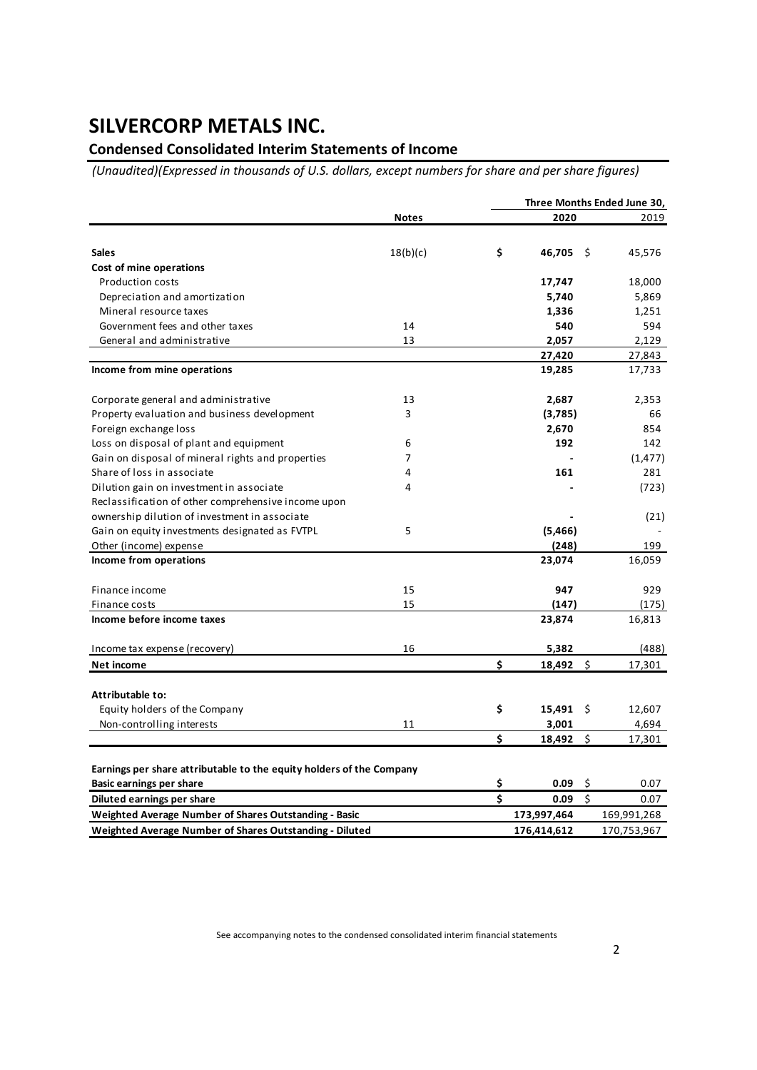## **Condensed Consolidated Interim Statements of Income**

 *(Unaudited)(Expressed in thousands of U.S. dollars, except numbers for share and per share figures)*

|                                                                      |              |    | Three Months Ended June 30, |      |             |
|----------------------------------------------------------------------|--------------|----|-----------------------------|------|-------------|
|                                                                      | <b>Notes</b> |    | 2020                        |      | 2019        |
|                                                                      |              |    |                             |      |             |
| <b>Sales</b>                                                         | 18(b)(c)     | \$ | 46,705                      | - \$ | 45,576      |
| Cost of mine operations                                              |              |    |                             |      |             |
| <b>Production costs</b>                                              |              |    | 17,747                      |      | 18,000      |
| Depreciation and amortization                                        |              |    | 5,740                       |      | 5,869       |
| Mineral resource taxes                                               |              |    | 1,336                       |      | 1,251       |
| Government fees and other taxes                                      | 14           |    | 540                         |      | 594         |
| General and administrative                                           | 13           |    | 2,057                       |      | 2,129       |
|                                                                      |              |    | 27,420                      |      | 27,843      |
| Income from mine operations                                          |              |    | 19,285                      |      | 17,733      |
| Corporate general and administrative                                 | 13           |    | 2,687                       |      | 2,353       |
| Property evaluation and business development                         | 3            |    | (3,785)                     |      | 66          |
| Foreign exchange loss                                                |              |    | 2,670                       |      | 854         |
| Loss on disposal of plant and equipment                              | 6            |    | 192                         |      | 142         |
| Gain on disposal of mineral rights and properties                    | 7            |    |                             |      | (1, 477)    |
| Share of loss in associate                                           | 4            |    | 161                         |      | 281         |
| Dilution gain on investment in associate                             | 4            |    |                             |      | (723)       |
| Reclassification of other comprehensive income upon                  |              |    |                             |      |             |
| ownership dilution of investment in associate                        |              |    |                             |      | (21)        |
| Gain on equity investments designated as FVTPL                       | 5            |    | (5, 466)                    |      |             |
| Other (income) expense                                               |              |    | (248)                       |      | 199         |
| Income from operations                                               |              |    | 23,074                      |      | 16,059      |
| Finance income                                                       | 15           |    | 947                         |      | 929         |
| Finance costs                                                        | 15           |    | (147)                       |      | (175)       |
| Income before income taxes                                           |              |    | 23,874                      |      | 16,813      |
| Income tax expense (recovery)                                        | 16           |    | 5,382                       |      | (488)       |
| Net income                                                           |              | Ś  | 18,492                      | \$   | 17,301      |
|                                                                      |              |    |                             |      |             |
| Attributable to:                                                     |              |    |                             |      |             |
| Equity holders of the Company                                        |              | \$ | 15,491                      | - \$ | 12,607      |
| Non-controlling interests                                            | 11           |    | 3,001                       |      | 4,694       |
|                                                                      |              | \$ | 18,492                      | \$   | 17,301      |
|                                                                      |              |    |                             |      |             |
| Earnings per share attributable to the equity holders of the Company |              |    |                             |      |             |
| <b>Basic earnings per share</b>                                      |              | \$ | 0.09                        | \$   | 0.07        |
| Diluted earnings per share                                           |              | \$ | 0.09                        | \$   | 0.07        |
| <b>Weighted Average Number of Shares Outstanding - Basic</b>         |              |    | 173,997,464                 |      | 169,991,268 |
| <b>Weighted Average Number of Shares Outstanding - Diluted</b>       |              |    | 176,414,612                 |      | 170,753,967 |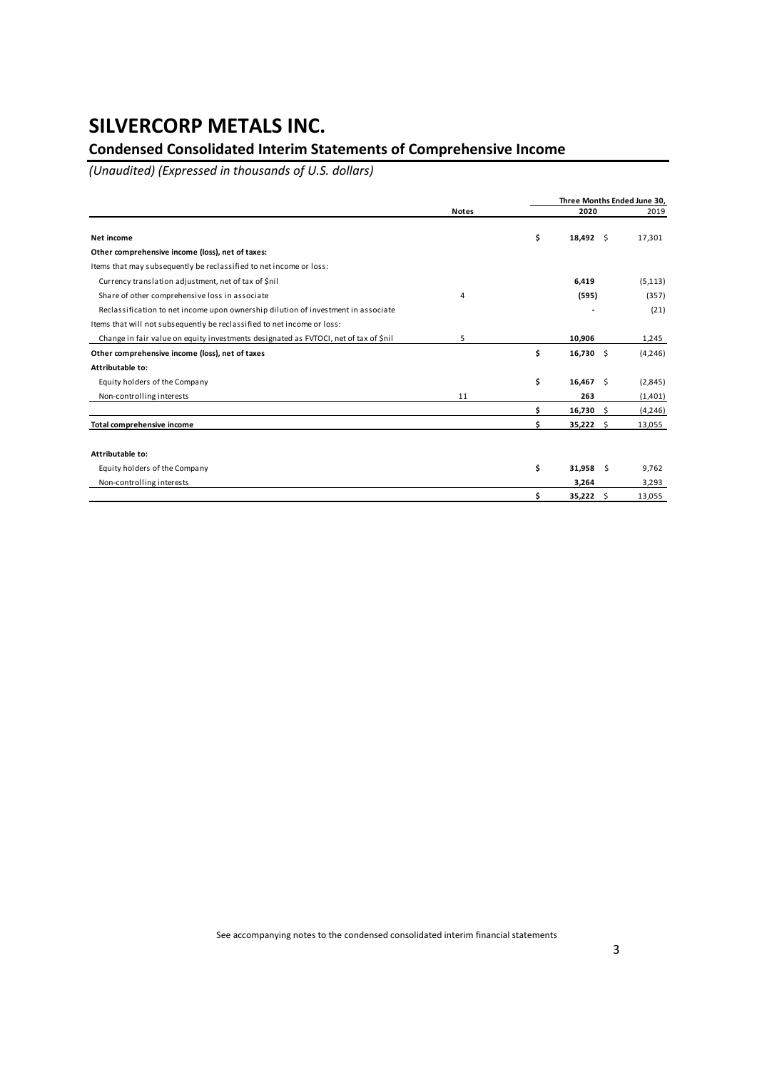## **Condensed Consolidated Interim Statements of Comprehensive Income**

*(Unaudited) (Expressed in thousands of U.S. dollars)*

|                                                                                      |              |    | Three Months Ended June 30, |  |          |  |  |  |
|--------------------------------------------------------------------------------------|--------------|----|-----------------------------|--|----------|--|--|--|
|                                                                                      | <b>Notes</b> |    | 2020                        |  |          |  |  |  |
| Net income                                                                           |              | \$ | $18,492 \quad$ \$           |  | 17,301   |  |  |  |
| Other comprehensive income (loss), net of taxes:                                     |              |    |                             |  |          |  |  |  |
| Items that may subsequently be reclassified to net income or loss:                   |              |    |                             |  |          |  |  |  |
| Currency translation adjustment, net of tax of \$nil                                 |              |    | 6,419                       |  | (5, 113) |  |  |  |
| Share of other comprehensive loss in associate                                       | 4            |    | (595)                       |  | (357)    |  |  |  |
| Reclassification to net income upon ownership dilution of investment in associate    |              |    |                             |  | (21)     |  |  |  |
| Items that will not subsequently be reclassified to net income or loss:              |              |    |                             |  |          |  |  |  |
| Change in fair value on equity investments designated as FVTOCI, net of tax of \$nil | 5            |    | 10,906                      |  | 1,245    |  |  |  |
| Other comprehensive income (loss), net of taxes                                      |              | \$ | $16,730 \quad $$            |  | (4, 246) |  |  |  |
| Attributable to:                                                                     |              |    |                             |  |          |  |  |  |
| Equity holders of the Company                                                        |              | \$ | $16,467$ \$                 |  | (2,845)  |  |  |  |
| Non-controlling interests                                                            | 11           |    | 263                         |  | (1,401)  |  |  |  |
|                                                                                      |              | Ś  | $16,730$ \$                 |  | (4,246)  |  |  |  |
| Total comprehensive income                                                           |              | \$ | $35,222$ \$                 |  | 13,055   |  |  |  |
| Attributable to:                                                                     |              |    |                             |  |          |  |  |  |
| Equity holders of the Company                                                        |              | \$ | $31,958$ \$                 |  | 9,762    |  |  |  |
| Non-controlling interests                                                            |              |    | 3,264                       |  | 3,293    |  |  |  |
|                                                                                      |              | \$ | 35,222 \$                   |  | 13,055   |  |  |  |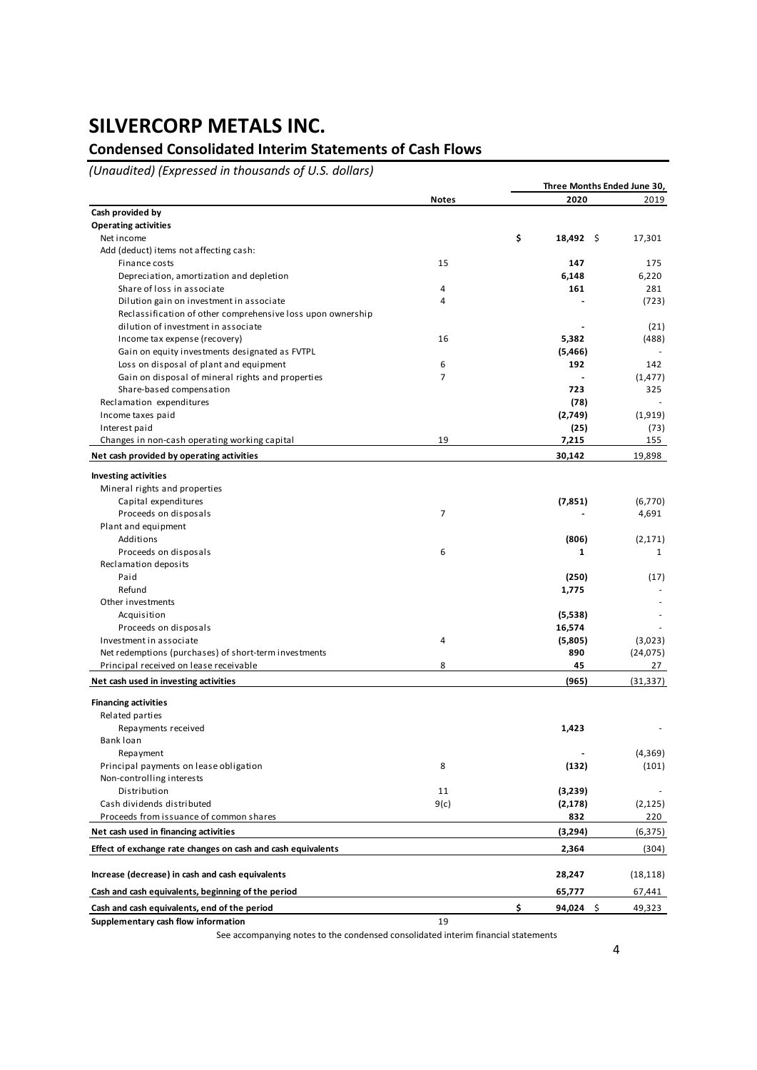## **Condensed Consolidated Interim Statements of Cash Flows**

*(Unaudited) (Expressed in thousands of U.S. dollars)*

|                                                              |                | Three Months Ended June 30, |           |  |  |  |
|--------------------------------------------------------------|----------------|-----------------------------|-----------|--|--|--|
|                                                              | <b>Notes</b>   | 2020                        | 2019      |  |  |  |
| Cash provided by                                             |                |                             |           |  |  |  |
| <b>Operating activities</b>                                  |                |                             |           |  |  |  |
| Net income                                                   |                | \$<br>$18,492 \quad$        | 17,301    |  |  |  |
| Add (deduct) items not affecting cash:                       |                |                             |           |  |  |  |
| Finance costs                                                | 15             | 147                         | 175       |  |  |  |
| Depreciation, amortization and depletion                     |                | 6,148                       | 6,220     |  |  |  |
| Share of loss in associate                                   | 4              | 161                         | 281       |  |  |  |
| Dilution gain on investment in associate                     | 4              |                             | (723)     |  |  |  |
| Reclassification of other comprehensive loss upon ownership  |                |                             |           |  |  |  |
| dilution of investment in associate                          |                |                             | (21)      |  |  |  |
| Income tax expense (recovery)                                | 16             | 5,382                       | (488)     |  |  |  |
| Gain on equity investments designated as FVTPL               |                | (5,466)                     |           |  |  |  |
| Loss on disposal of plant and equipment                      | 6              | 192                         | 142       |  |  |  |
| Gain on disposal of mineral rights and properties            | 7              |                             | (1, 477)  |  |  |  |
| Share-based compensation                                     |                | 723                         | 325       |  |  |  |
| Reclamation expenditures                                     |                | (78)                        |           |  |  |  |
| Income taxes paid                                            |                | (2,749)                     | (1,919)   |  |  |  |
| Interest paid                                                |                | (25)                        | (73)      |  |  |  |
| Changes in non-cash operating working capital                | 19             | 7,215                       | 155       |  |  |  |
| Net cash provided by operating activities                    |                | 30,142                      | 19,898    |  |  |  |
|                                                              |                |                             |           |  |  |  |
| <b>Investing activities</b>                                  |                |                             |           |  |  |  |
| Mineral rights and properties                                |                |                             |           |  |  |  |
| Capital expenditures                                         |                | (7,851)                     | (6,770)   |  |  |  |
| Proceeds on disposals                                        | $\overline{7}$ |                             | 4,691     |  |  |  |
| Plant and equipment                                          |                |                             |           |  |  |  |
| Additions                                                    |                | (806)                       | (2, 171)  |  |  |  |
| Proceeds on disposals                                        | 6              | 1                           | 1         |  |  |  |
| Reclamation deposits                                         |                |                             |           |  |  |  |
| Paid                                                         |                | (250)                       | (17)      |  |  |  |
| Refund                                                       |                | 1,775                       |           |  |  |  |
| Other investments                                            |                |                             |           |  |  |  |
| Acquisition                                                  |                | (5,538)                     |           |  |  |  |
| Proceeds on disposals                                        |                | 16,574                      |           |  |  |  |
| Investment in associate                                      | 4              | (5,805)                     | (3,023)   |  |  |  |
| Net redemptions (purchases) of short-term investments        |                | 890                         | (24, 075) |  |  |  |
| Principal received on lease receivable                       | 8              | 45                          | 27        |  |  |  |
| Net cash used in investing activities                        |                | (965)                       | (31, 337) |  |  |  |
| <b>Financing activities</b>                                  |                |                             |           |  |  |  |
| Related parties                                              |                |                             |           |  |  |  |
|                                                              |                | 1,423                       |           |  |  |  |
| Repayments received<br>Bank loan                             |                |                             |           |  |  |  |
|                                                              |                |                             |           |  |  |  |
| Repayment                                                    |                |                             | (4, 369)  |  |  |  |
| Principal payments on lease obligation                       | 8              | (132)                       | (101)     |  |  |  |
| Non-controlling interests                                    |                |                             |           |  |  |  |
| Distribution                                                 | 11             | (3,239)                     |           |  |  |  |
| Cash dividends distributed                                   | 9(c)           | (2, 178)                    | (2, 125)  |  |  |  |
| Proceeds from issuance of common shares                      |                | 832                         | 220       |  |  |  |
| Net cash used in financing activities                        |                | (3,294)                     | (6, 375)  |  |  |  |
| Effect of exchange rate changes on cash and cash equivalents |                | 2,364                       | (304)     |  |  |  |
| Increase (decrease) in cash and cash equivalents             |                | 28,247                      | (18, 118) |  |  |  |
| Cash and cash equivalents, beginning of the period           |                | 65,777                      | 67,441    |  |  |  |
| Cash and cash equivalents, end of the period                 |                | \$<br>$94,024$ \$           | 49,323    |  |  |  |
| Supplementary cash flow information                          | 19             |                             |           |  |  |  |
|                                                              |                |                             |           |  |  |  |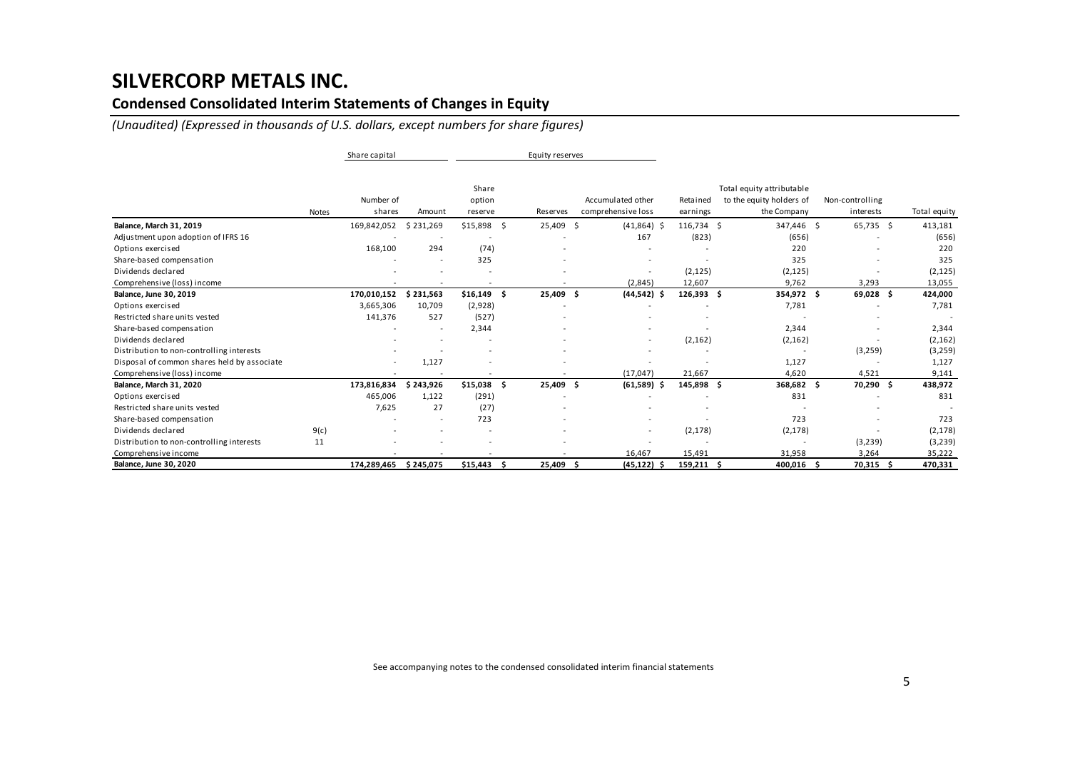## **Condensed Consolidated Interim Statements of Changes in Equity**

*(Unaudited) (Expressed in thousands of U.S. dollars, except numbers for share figures)*

|                                             |              | Share capital       |                          |                            | Equity reserves          |                                         |                                                                                              |                          |                              |              |
|---------------------------------------------|--------------|---------------------|--------------------------|----------------------------|--------------------------|-----------------------------------------|----------------------------------------------------------------------------------------------|--------------------------|------------------------------|--------------|
|                                             | <b>Notes</b> | Number of<br>shares | Amount                   | Share<br>option<br>reserve | Reserves                 | Accumulated other<br>comprehensive loss | Total equity attributable<br>to the equity holders of<br>Retained<br>the Company<br>earnings |                          | Non-controlling<br>interests | Total equity |
| Balance, March 31, 2019                     |              | 169,842,052         | \$231,269                | $$15,898$ \$               | 25,409 \$                | $(41,864)$ \$                           | 116,734 \$                                                                                   | 347,446 \$               | 65,735 \$                    | 413,181      |
| Adjustment upon adoption of IFRS 16         |              |                     |                          |                            |                          | 167                                     | (823)                                                                                        | (656)                    |                              | (656)        |
| Options exercised                           |              | 168,100             | 294                      | (74)                       |                          |                                         |                                                                                              | 220                      |                              | 220          |
| Share-based compensation                    |              |                     |                          | 325                        |                          |                                         |                                                                                              | 325                      |                              | 325          |
| Dividends declared                          |              |                     |                          |                            |                          |                                         | (2, 125)                                                                                     | (2, 125)                 |                              | (2, 125)     |
| Comprehensive (loss) income                 |              |                     |                          |                            |                          | (2,845)                                 | 12,607                                                                                       | 9,762                    | 3,293                        | 13,055       |
| Balance, June 30, 2019                      |              | 170,010,152         | \$231,563                | $$16,149$ \$               | 25,409 \$                | $(44,542)$ \$                           | $126,393$ \$                                                                                 | 354,972 \$               | 69,028 \$                    | 424,000      |
| Options exercised                           |              | 3,665,306           | 10,709                   | (2,928)                    |                          |                                         |                                                                                              | 7,781                    |                              | 7,781        |
| Restricted share units vested               |              | 141,376             | 527                      | (527)                      |                          |                                         |                                                                                              |                          |                              |              |
| Share-based compensation                    |              |                     | $\overline{\phantom{a}}$ | 2,344                      |                          |                                         |                                                                                              | 2,344                    |                              | 2,344        |
| Dividends declared                          |              |                     |                          |                            |                          |                                         | (2, 162)                                                                                     | (2, 162)                 |                              | (2, 162)     |
| Distribution to non-controlling interests   |              |                     |                          |                            |                          |                                         |                                                                                              |                          | (3,259)                      | (3,259)      |
| Disposal of common shares held by associate |              |                     | 1,127                    |                            |                          |                                         |                                                                                              | 1,127                    |                              | 1,127        |
| Comprehensive (loss) income                 |              |                     |                          | ۰                          |                          | (17, 047)                               | 21,667                                                                                       | 4,620                    | 4,521                        | 9,141        |
| Balance, March 31, 2020                     |              | 173,816,834         | 243,926<br>Ŝ             | $$15,038$ \$               | 25,409 \$                | (61,589)<br>-S                          | 145,898 \$                                                                                   | 368,682                  | 70,290 \$<br>- \$            | 438,972      |
| Options exercised                           |              | 465,006             | 1,122                    | (291)                      |                          |                                         |                                                                                              | 831                      |                              | 831          |
| Restricted share units vested               |              | 7,625               | 27                       | (27)                       |                          |                                         |                                                                                              |                          |                              |              |
| Share-based compensation                    |              |                     |                          | 723                        |                          |                                         |                                                                                              | 723                      |                              | 723          |
| Dividends declared                          | 9(c)         |                     |                          |                            |                          |                                         | (2, 178)                                                                                     | (2, 178)                 |                              | (2, 178)     |
| Distribution to non-controlling interests   | 11           |                     |                          |                            |                          |                                         |                                                                                              | $\overline{\phantom{a}}$ | (3, 239)                     | (3,239)      |
| Comprehensive income                        |              |                     | $\overline{\phantom{a}}$ | ۰                          | $\overline{\phantom{a}}$ | 16,467                                  | 15,491                                                                                       | 31,958                   | 3,264                        | 35,222       |
| Balance, June 30, 2020                      |              | 174,289,465         | \$245,075                | $$15,443$ \$               | 25,409 \$                | (45,122)                                | $159,211$ \$                                                                                 | 400,016 \$               | 70,315                       | 470,331      |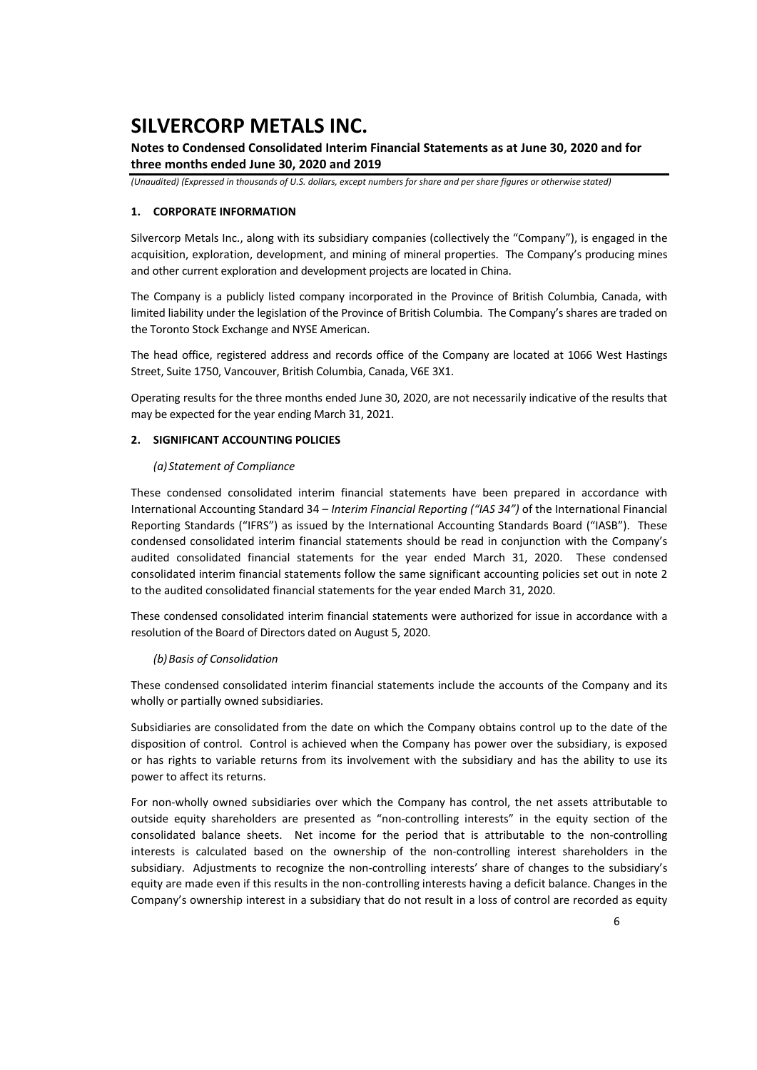## **Notes to Condensed Consolidated Interim Financial Statements as at June 30, 2020 and for three months ended June 30, 2020 and 2019**

*(Unaudited) (Expressed in thousands of U.S. dollars, except numbers for share and per share figures or otherwise stated)*

### **1. CORPORATE INFORMATION**

Silvercorp Metals Inc., along with its subsidiary companies (collectively the "Company"), is engaged in the acquisition, exploration, development, and mining of mineral properties. The Company's producing mines and other current exploration and development projects are located in China.

The Company is a publicly listed company incorporated in the Province of British Columbia, Canada, with limited liability under the legislation of the Province of British Columbia. The Company's shares are traded on the Toronto Stock Exchange and NYSE American.

The head office, registered address and records office of the Company are located at 1066 West Hastings Street, Suite 1750, Vancouver, British Columbia, Canada, V6E 3X1.

Operating results for the three months ended June 30, 2020, are not necessarily indicative of the results that may be expected for the year ending March 31, 2021.

### **2. SIGNIFICANT ACCOUNTING POLICIES**

#### *(a)Statement of Compliance*

These condensed consolidated interim financial statements have been prepared in accordance with International Accounting Standard 34 – *Interim Financial Reporting ("IAS 34")* of the International Financial Reporting Standards ("IFRS") as issued by the International Accounting Standards Board ("IASB"). These condensed consolidated interim financial statements should be read in conjunction with the Company's audited consolidated financial statements for the year ended March 31, 2020. These condensed consolidated interim financial statements follow the same significant accounting policies set out in note 2 to the audited consolidated financial statements for the year ended March 31, 2020.

These condensed consolidated interim financial statements were authorized for issue in accordance with a resolution of the Board of Directors dated on August 5, 2020.

#### *(b)Basis of Consolidation*

These condensed consolidated interim financial statements include the accounts of the Company and its wholly or partially owned subsidiaries.

Subsidiaries are consolidated from the date on which the Company obtains control up to the date of the disposition of control. Control is achieved when the Company has power over the subsidiary, is exposed or has rights to variable returns from its involvement with the subsidiary and has the ability to use its power to affect its returns.

For non-wholly owned subsidiaries over which the Company has control, the net assets attributable to outside equity shareholders are presented as "non-controlling interests" in the equity section of the consolidated balance sheets. Net income for the period that is attributable to the non-controlling interests is calculated based on the ownership of the non-controlling interest shareholders in the subsidiary. Adjustments to recognize the non-controlling interests' share of changes to the subsidiary's equity are made even if this results in the non-controlling interests having a deficit balance. Changes in the Company's ownership interest in a subsidiary that do not result in a loss of control are recorded as equity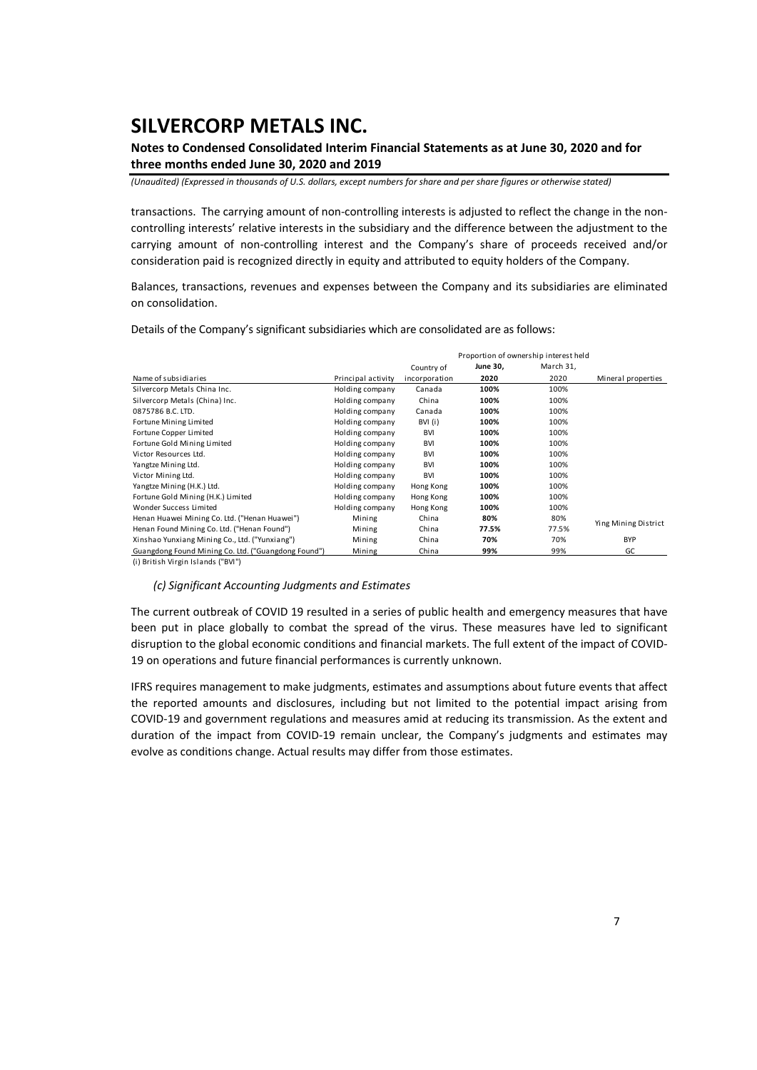## **Notes to Condensed Consolidated Interim Financial Statements as at June 30, 2020 and for three months ended June 30, 2020 and 2019**

*(Unaudited) (Expressed in thousands of U.S. dollars, except numbers for share and per share figures or otherwise stated)*

transactions. The carrying amount of non‐controlling interests is adjusted to reflect the change in the non‐ controlling interests' relative interests in the subsidiary and the difference between the adjustment to the carrying amount of non-controlling interest and the Company's share of proceeds received and/or consideration paid is recognized directly in equity and attributed to equity holders of the Company.

Balances, transactions, revenues and expenses between the Company and its subsidiaries are eliminated on consolidation.

Details of the Company's significant subsidiaries which are consolidated are as follows:

|                                                     |                    |               | Proportion of ownership interest held |           |                      |
|-----------------------------------------------------|--------------------|---------------|---------------------------------------|-----------|----------------------|
|                                                     |                    | Country of    | June 30,                              | March 31, |                      |
| Name of subsidiaries                                | Principal activity | incorporation | 2020                                  | 2020      | Mineral properties   |
| Silvercorp Metals China Inc.                        | Holding company    | Canada        | 100%                                  | 100%      |                      |
| Silvercorp Metals (China) Inc.                      | Holding company    | China         | 100%                                  | 100%      |                      |
| 0875786 B.C. LTD.                                   | Holding company    | Canada        | 100%                                  | 100%      |                      |
| Fortune Mining Limited                              | Holding company    | BVI (i)       | 100%                                  | 100%      |                      |
| Fortune Copper Limited                              | Holding company    | <b>BVI</b>    | 100%                                  | 100%      |                      |
| Fortune Gold Mining Limited                         | Holding company    | <b>BVI</b>    | 100%                                  | 100%      |                      |
| Victor Resources Ltd.                               | Holding company    | <b>BVI</b>    | 100%                                  | 100%      |                      |
| Yangtze Mining Ltd.                                 | Holding company    | <b>BVI</b>    | 100%                                  | 100%      |                      |
| Victor Mining Ltd.                                  | Holding company    | <b>BVI</b>    | 100%                                  | 100%      |                      |
| Yangtze Mining (H.K.) Ltd.                          | Holding company    | Hong Kong     | 100%                                  | 100%      |                      |
| Fortune Gold Mining (H.K.) Limited                  | Holding company    | Hong Kong     | 100%                                  | 100%      |                      |
| Wonder Success Limited                              | Holding company    | Hong Kong     | 100%                                  | 100%      |                      |
| Henan Huawei Mining Co. Ltd. ("Henan Huawei")       | Mining             | China         | 80%                                   | 80%       | Ying Mining District |
| Henan Found Mining Co. Ltd. ("Henan Found")         | Mining             | China         | 77.5%                                 | 77.5%     |                      |
| Xinshao Yunxiang Mining Co., Ltd. ("Yunxiang")      | Mining             | China         | 70%                                   | 70%       | <b>BYP</b>           |
| Guangdong Found Mining Co. Ltd. ("Guangdong Found") | Mining             | China         | 99%                                   | 99%       | GC                   |

(i ) British Virgin Islands ("BVI")

#### *(c) Significant Accounting Judgments and Estimates*

The current outbreak of COVID 19 resulted in a series of public health and emergency measures that have been put in place globally to combat the spread of the virus. These measures have led to significant disruption to the global economic conditions and financial markets. The full extent of the impact of COVID‐ 19 on operations and future financial performances is currently unknown.

IFRS requires management to make judgments, estimates and assumptions about future events that affect the reported amounts and disclosures, including but not limited to the potential impact arising from COVID‐19 and government regulations and measures amid at reducing its transmission. As the extent and duration of the impact from COVID-19 remain unclear, the Company's judgments and estimates may evolve as conditions change. Actual results may differ from those estimates.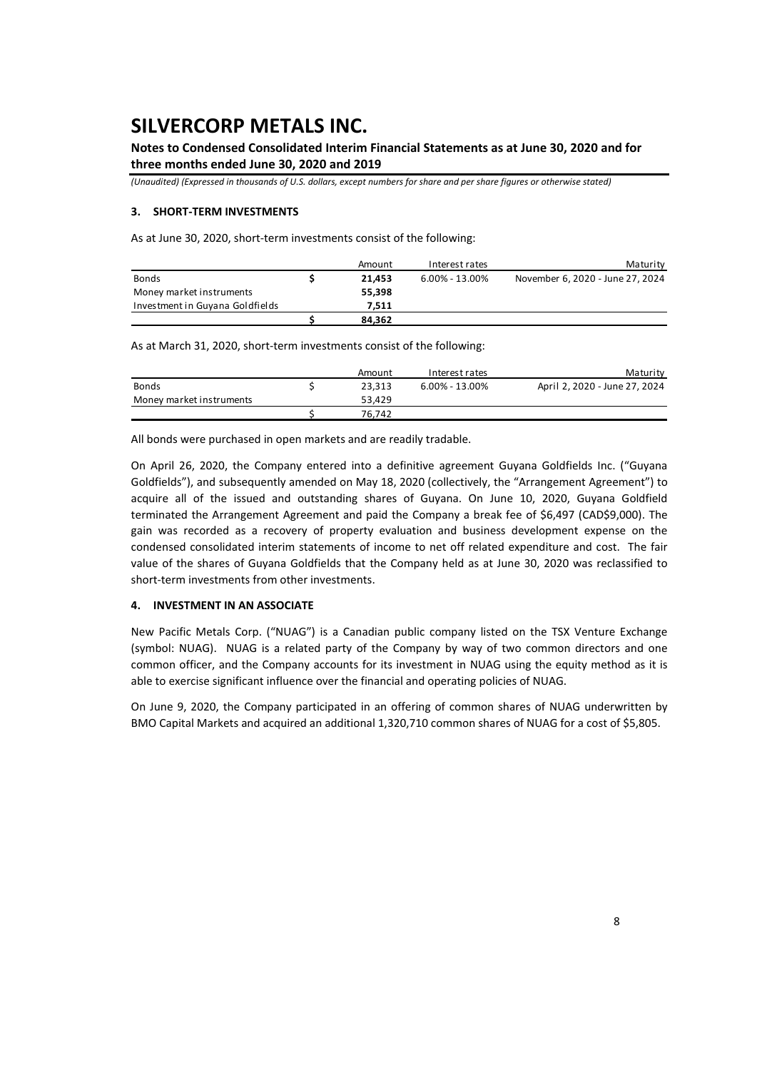## **Notes to Condensed Consolidated Interim Financial Statements as at June 30, 2020 and for three months ended June 30, 2020 and 2019**

*(Unaudited) (Expressed in thousands of U.S. dollars, except numbers for share and per share figures or otherwise stated)*

### **3. SHORT‐TERM INVESTMENTS**

As at June 30, 2020, short‐term investments consist of the following:

|                                 | Amount | Interest rates | Maturity                         |
|---------------------------------|--------|----------------|----------------------------------|
| <b>Bonds</b>                    | 21.453 | 6.00% - 13.00% | November 6, 2020 - June 27, 2024 |
| Money market instruments        | 55.398 |                |                                  |
| Investment in Guyana Goldfields | 7.511  |                |                                  |
|                                 | 84.362 |                |                                  |

As at March 31, 2020, short-term investments consist of the following:

|                          | Amount | Interest rates     | Maturity                      |
|--------------------------|--------|--------------------|-------------------------------|
| <b>Bonds</b>             | 23.313 | $6.00\% - 13.00\%$ | April 2, 2020 - June 27, 2024 |
| Money market instruments | 53.429 |                    |                               |
|                          | 76.742 |                    |                               |

All bonds were purchased in open markets and are readily tradable.

On April 26, 2020, the Company entered into a definitive agreement Guyana Goldfields Inc. ("Guyana Goldfields"), and subsequently amended on May 18, 2020 (collectively, the "Arrangement Agreement") to acquire all of the issued and outstanding shares of Guyana. On June 10, 2020, Guyana Goldfield terminated the Arrangement Agreement and paid the Company a break fee of \$6,497 (CAD\$9,000). The gain was recorded as a recovery of property evaluation and business development expense on the condensed consolidated interim statements of income to net off related expenditure and cost. The fair value of the shares of Guyana Goldfields that the Company held as at June 30, 2020 was reclassified to short-term investments from other investments.

#### **4. INVESTMENT IN AN ASSOCIATE**

New Pacific Metals Corp. ("NUAG") is a Canadian public company listed on the TSX Venture Exchange (symbol: NUAG). NUAG is a related party of the Company by way of two common directors and one common officer, and the Company accounts for its investment in NUAG using the equity method as it is able to exercise significant influence over the financial and operating policies of NUAG.

On June 9, 2020, the Company participated in an offering of common shares of NUAG underwritten by BMO Capital Markets and acquired an additional 1,320,710 common shares of NUAG for a cost of \$5,805.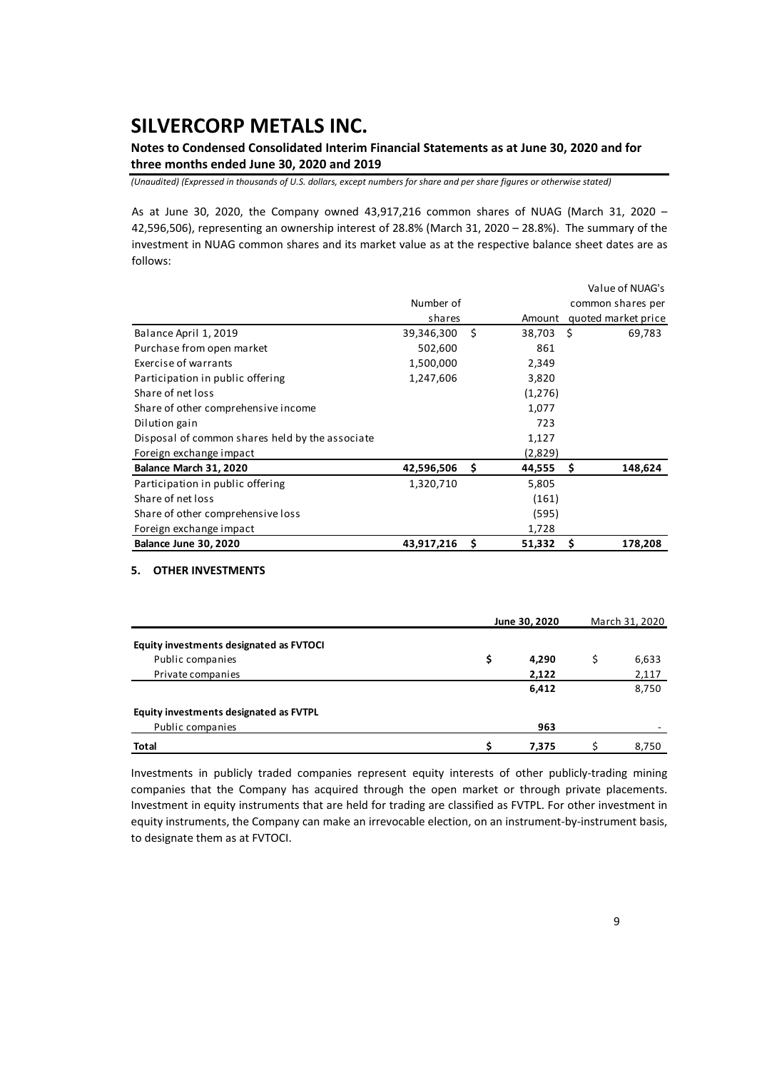**Notes to Condensed Consolidated Interim Financial Statements as at June 30, 2020 and for three months ended June 30, 2020 and 2019** 

*(Unaudited) (Expressed in thousands of U.S. dollars, except numbers for share and per share figures or otherwise stated)*

As at June 30, 2020, the Company owned 43,917,216 common shares of NUAG (March 31, 2020 -42,596,506), representing an ownership interest of 28.8% (March 31, 2020 – 28.8%). The summary of the investment in NUAG common shares and its market value as at the respective balance sheet dates are as follows:

|                                                 |            |     |         | Value of NUAG's     |
|-------------------------------------------------|------------|-----|---------|---------------------|
|                                                 | Number of  |     |         | common shares per   |
|                                                 | shares     |     | Amount  | quoted market price |
| Balance April 1, 2019                           | 39,346,300 | \$  | 38,703  | - \$<br>69,783      |
| Purchase from open market                       | 502,600    |     | 861     |                     |
| Exercise of warrants                            | 1,500,000  |     | 2,349   |                     |
| Participation in public offering                | 1,247,606  |     | 3,820   |                     |
| Share of net loss                               |            |     | (1,276) |                     |
| Share of other comprehensive income             |            |     | 1,077   |                     |
| Dilution gain                                   |            |     | 723     |                     |
| Disposal of common shares held by the associate |            |     | 1,127   |                     |
| Foreign exchange impact                         |            |     | (2,829) |                     |
| Balance March 31, 2020                          | 42,596,506 | \$. | 44,555  | \$.<br>148,624      |
| Participation in public offering                | 1,320,710  |     | 5,805   |                     |
| Share of net loss                               |            |     | (161)   |                     |
| Share of other comprehensive loss               |            |     | (595)   |                     |
| Foreign exchange impact                         |            |     | 1,728   |                     |
| Balance June 30, 2020                           | 43,917,216 | \$. | 51,332  | 178,208<br>Ŝ        |

#### **5. OTHER INVESTMENTS**

|                                         | June 30, 2020 | March 31, 2020 |  |       |
|-----------------------------------------|---------------|----------------|--|-------|
| Equity investments designated as FVTOCI |               |                |  |       |
| Public companies                        | \$            | 4,290          |  | 6,633 |
| Private companies                       |               | 2,122          |  | 2,117 |
|                                         |               | 6,412          |  | 8,750 |
| Equity investments designated as FVTPL  |               |                |  |       |
| Public companies                        |               | 963            |  |       |
| <b>Total</b>                            |               | 7,375          |  | 8,750 |

Investments in publicly traded companies represent equity interests of other publicly-trading mining companies that the Company has acquired through the open market or through private placements. Investment in equity instruments that are held for trading are classified as FVTPL. For other investment in equity instruments, the Company can make an irrevocable election, on an instrument-by-instrument basis, to designate them as at FVTOCI.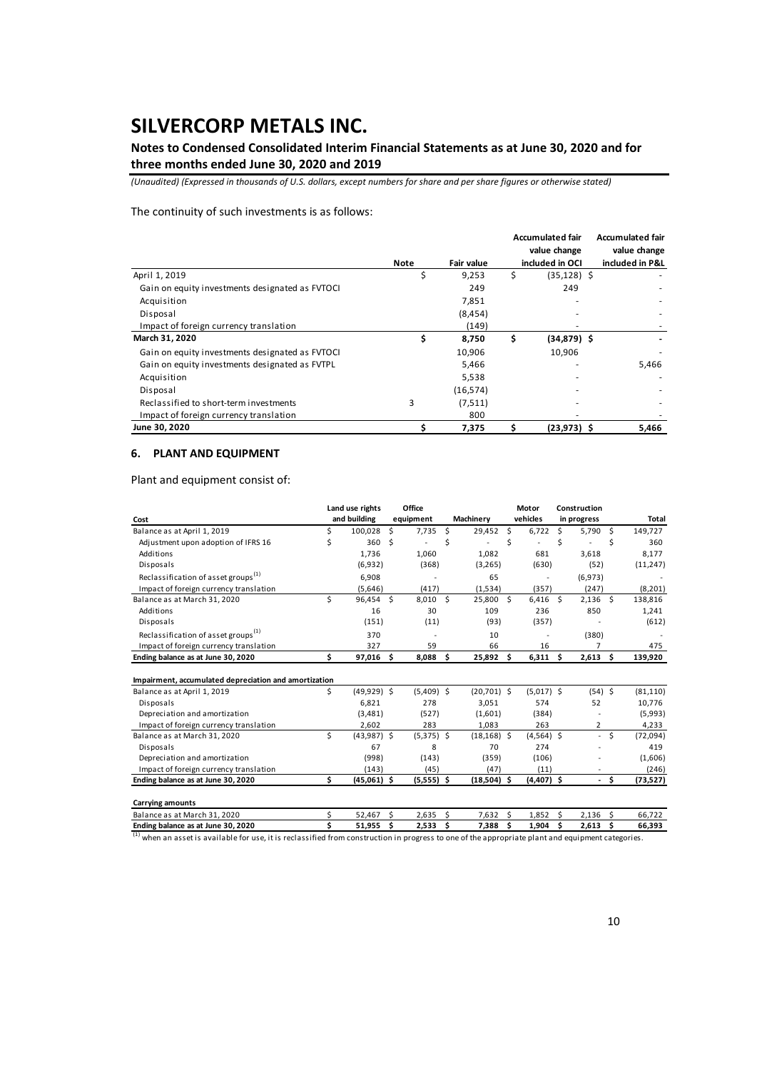## **Notes to Condensed Consolidated Interim Financial Statements as at June 30, 2020 and for three months ended June 30, 2020 and 2019**

*(Unaudited) (Expressed in thousands of U.S. dollars, except numbers for share and per share figures or otherwise stated)*

### The continuity of such investments is as follows:

|                                                 |      |                   | <b>Accumulated fair</b> | <b>Accumulated fair</b> |              |
|-------------------------------------------------|------|-------------------|-------------------------|-------------------------|--------------|
|                                                 |      |                   | value change            |                         | value change |
|                                                 | Note | <b>Fair value</b> | included in OCI         | included in P&L         |              |
| April 1, 2019                                   | Ś    | 9,253             | \$<br>$(35, 128)$ \$    |                         |              |
| Gain on equity investments designated as FVTOCI |      | 249               | 249                     |                         |              |
| Acquisition                                     |      | 7,851             |                         |                         |              |
| Disposal                                        |      | (8, 454)          |                         |                         |              |
| Impact of foreign currency translation          |      | (149)             |                         |                         |              |
| March 31, 2020                                  | \$   | 8,750             | \$<br>$(34,879)$ \$     |                         |              |
| Gain on equity investments designated as FVTOCI |      | 10,906            | 10,906                  |                         |              |
| Gain on equity investments designated as FVTPL  |      | 5,466             |                         |                         | 5,466        |
| Acquisition                                     |      | 5,538             |                         |                         |              |
| Disposal                                        |      | (16, 574)         |                         |                         |              |
| Reclassified to short-term investments          | 3    | (7,511)           |                         |                         |              |
| Impact of foreign currency translation          |      | 800               |                         |                         |              |
| June 30, 2020                                   |      | 7,375             | $(23, 973)$ \$          |                         | 5,466        |

### **6. PLANT AND EQUIPMENT**

Plant and equipment consist of:

|                                                       | Office<br>Land use rights |               |    |              |    |                | Motor      |              | Construction |                |    |           |
|-------------------------------------------------------|---------------------------|---------------|----|--------------|----|----------------|------------|--------------|--------------|----------------|----|-----------|
| Cost                                                  |                           | and building  |    | equipment    |    | Machinery      |            | vehicles     |              | in progress    |    | Total     |
| Balance as at April 1, 2019                           | \$                        | 100,028       | \$ | 7,735        | \$ | 29,452 \$      |            | 6,722        | Ŝ.           | $5,790$ \$     |    | 149,727   |
| Adjustment upon adoption of IFRS 16                   | \$                        | 360           | Ś  |              | Ś  |                | Ś          | ä,           | Ś            |                | Ś  | 360       |
| Additions                                             |                           | 1,736         |    | 1,060        |    | 1,082          |            | 681          |              | 3,618          |    | 8,177     |
| Disposals                                             |                           | (6,932)       |    | (368)        |    | (3, 265)       |            | (630)        |              | (52)           |    | (11, 247) |
| Reclassification of asset groups <sup>(1)</sup>       |                           | 6,908         |    |              |    | 65             |            |              |              | (6,973)        |    |           |
| Impact of foreign currency translation                |                           | (5,646)       |    | (417)        |    | (1,534)        |            | (357)        |              | (247)          |    | (8, 201)  |
| Balance as at March 31, 2020                          | Ś                         | 96,454        | Ś  | 8,010        | Ś  | 25,800 \$      |            | $6,416$ \$   |              | $2,136$ \$     |    | 138,816   |
| Additions                                             |                           | 16            |    | 30           |    | 109            |            | 236          |              | 850            |    | 1,241     |
| Disposals                                             |                           | (151)         |    | (11)         |    | (93)           |            | (357)        |              |                |    | (612)     |
| Reclassification of asset groups <sup>(1)</sup>       |                           | 370           |    |              |    | 10             |            |              |              | (380)          |    |           |
| Impact of foreign currency translation                |                           | 327           |    | 59           |    | 66             |            | 16           |              | 7              |    | 475       |
| Ending balance as at June 30, 2020                    | Ś.                        | 97,016        | Ś. | 8,088        | Ŝ. | 25,892 \$      |            | $6,311$ \$   |              | $2,613$ \$     |    | 139,920   |
| Impairment, accumulated depreciation and amortization |                           |               |    |              |    |                |            |              |              |                |    |           |
| Balance as at April 1, 2019                           | Ś.                        | $(49,929)$ \$ |    | $(5,409)$ \$ |    | $(20,701)$ \$  |            | $(5,017)$ \$ |              | $(54)$ \$      |    | (81, 110) |
| Disposals                                             |                           | 6.821         |    | 278          |    | 3,051          |            | 574          |              | 52             |    | 10,776    |
| Depreciation and amortization                         |                           | (3,481)       |    | (527)        |    | (1,601)        |            | (384)        |              |                |    | (5,993)   |
| Impact of foreign currency translation                |                           | 2,602         |    | 283          |    | 1,083          |            | 263          |              | $\overline{2}$ |    | 4,233     |
| Balance as at March 31, 2020                          | \$                        | $(43,987)$ \$ |    | $(5,375)$ \$ |    | $(18, 168)$ \$ |            | $(4,564)$ \$ |              | $\sim$         | Ś  | (72, 094) |
| Disposals                                             |                           | 67            |    | 8            |    | 70             |            | 274          |              |                |    | 419       |
| Depreciation and amortization                         |                           | (998)         |    | (143)        |    | (359)          |            | (106)        |              |                |    | (1,606)   |
| Impact of foreign currency translation                |                           | (143)         |    | (45)         |    | (47)           |            | (11)         |              |                |    | (246)     |
| Ending balance as at June 30, 2020                    | Ś.                        | $(45,061)$ \$ |    | $(5,555)$ \$ |    | $(18,504)$ \$  |            | $(4,407)$ \$ |              | $\sim$         | Ŝ. | (73, 527) |
| <b>Carrying amounts</b>                               |                           |               |    |              |    |                |            |              |              |                |    |           |
| Balance as at March 31, 2020                          | \$                        | 52,467        | \$ | 2,635        | \$ | 7,632          | Ŝ.         | 1,852        | - Ś          | 2,136          | -S | 66,722    |
| Ending holones as at lung 20, 2020                    | ċ                         | E1 OEE C      |    | א ככת ב      |    | 7300           | $\epsilon$ | 1.004        | $\epsilon$   | 26126          |    | cc 202    |

**Ending balance as at June 30, 2020 5 51,955 \$2,533 \$7,388 \$1,904 \$2,613 \$66,393**<br>(1) when an asset is available for use, it is reclassified from construction in progress to one of the appropriate plant and equipment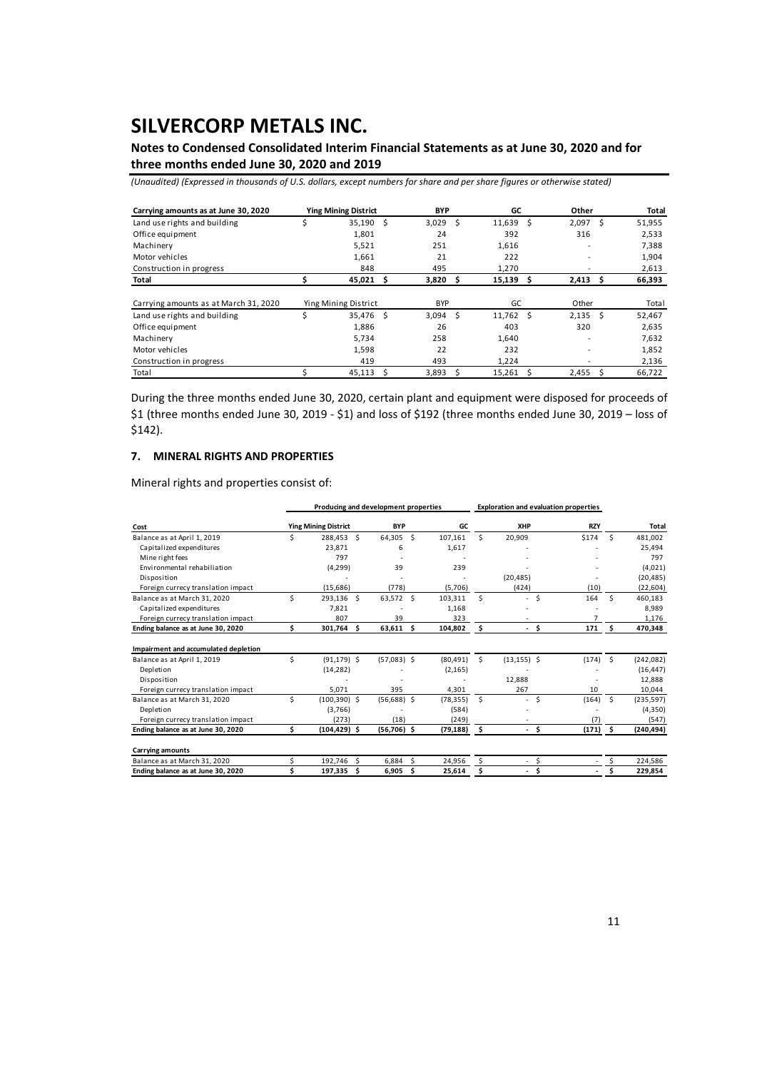## **Notes to Condensed Consolidated Interim Financial Statements as at June 30, 2020 and for three months ended June 30, 2020 and 2019**

*(Unaudited) (Expressed in thousands of U.S. dollars, except numbers for share and per share figures or otherwise stated)*

| Carrying amounts as at June 30, 2020  |    | <b>Ying Mining District</b> |      | <b>BYP</b> |    | GC          |     | Other          |     | Total  |  |
|---------------------------------------|----|-----------------------------|------|------------|----|-------------|-----|----------------|-----|--------|--|
| Land use rights and building          | \$ | 35,190                      | - S  | 3,029      | -S | 11,639      | - Ś | 2,097          | .s  | 51,955 |  |
| Office equipment                      |    | 1,801                       |      | 24         |    | 392         |     | 316            |     | 2,533  |  |
| Machinery                             |    | 5,521                       |      | 251        |    | 1,616       |     |                |     | 7,388  |  |
| Motor vehicles                        |    | 1,661                       |      | 21         |    | 222         |     |                |     | 1,904  |  |
| Construction in progress              |    | 848                         |      | 495        |    | 1,270       |     |                |     | 2,613  |  |
| Total                                 |    | 45,021                      | Ŝ    | 3,820      | s  | 15,139      | - Ś | 2,413          | S   | 66,393 |  |
|                                       |    |                             |      |            |    |             |     |                |     |        |  |
| Carrying amounts as at March 31, 2020 |    | Ying Mining District        |      | <b>BYP</b> |    | GC          |     | Other          |     | Total  |  |
| Land use rights and building          | Ś  | 35.476                      | - \$ | 3.094      | -Ś | $11,762$ \$ |     | 2.135          | - S | 52,467 |  |
| Office equipment                      |    | 1,886                       |      | 26         |    | 403         |     | 320            |     | 2,635  |  |
| Machinery                             |    | 5,734                       |      | 258        |    | 1,640       |     | $\blacksquare$ |     | 7,632  |  |
| Motor vehicles                        |    | 1,598                       |      | 22         |    | 232         |     |                |     | 1,852  |  |
| Construction in progress              |    | 419                         |      | 493        |    | 1,224       |     |                |     | 2,136  |  |
| Total                                 |    | 45,113                      | Ŝ    | 3,893      |    | 15,261      |     | 2,455          |     | 66,722 |  |

During the three months ended June 30, 2020, certain plant and equipment were disposed for proceeds of \$1 (three months ended June 30, 2019 ‐ \$1) and loss of \$192 (three months ended June 30, 2019 – loss of \$142).

### **7. MINERAL RIGHTS AND PROPERTIES**

Mineral rights and properties consist of:

|                                      |    |                             | Producing and development properties |           |                     | <b>Exploration and evaluation properties</b> |            |          |              |
|--------------------------------------|----|-----------------------------|--------------------------------------|-----------|---------------------|----------------------------------------------|------------|----------|--------------|
| Cost                                 |    | <b>Ying Mining District</b> | <b>BYP</b>                           | GC        |                     | XHP                                          | <b>RZY</b> |          | <b>Total</b> |
| Balance as at April 1, 2019          | Ś  | 288,453 \$                  | <sup>5</sup><br>64,305               | 107.161   | Ś.                  | 20,909                                       | \$174      | <b>S</b> | 481,002      |
| Capitalized expenditures             |    | 23.871                      | 6                                    | 1,617     |                     |                                              |            |          | 25.494       |
| Mine right fees                      |    | 797                         |                                      |           |                     |                                              |            |          | 797          |
| Environmental rehabiliation          |    | (4, 299)                    | 39                                   | 239       |                     |                                              |            |          | (4,021)      |
| Disposition                          |    |                             |                                      |           |                     | (20, 485)                                    |            |          | (20, 485)    |
| Foreign currecy translation impact   |    | (15,686)                    | (778)                                | (5,706)   |                     | (424)                                        | (10)       |          | (22, 604)    |
| Balance as at March 31, 2020         | \$ | 293,136 \$                  | 63,572<br>Ŝ.                         | 103,311   | Ś.                  | Ś<br>ä.                                      | 164        | Ŝ.       | 460,183      |
| Capitalized expenditures             |    | 7,821                       |                                      | 1,168     |                     |                                              |            |          | 8,989        |
| Foreign currecy translation impact   |    | 807                         | 39                                   | 323       |                     |                                              |            |          | 1,176        |
| Ending balance as at June 30, 2020   | \$ | 301,764 \$                  | \$<br>63,611                         | 104,802   | -\$                 | - \$                                         | 171        | \$       | 470,348      |
| Impairment and accumulated depletion |    |                             |                                      |           |                     |                                              |            |          |              |
| Balance as at April 1, 2019          | \$ | $(91, 179)$ \$              | $(57,083)$ \$                        | (80, 491) | Ś.                  | $(13, 155)$ \$                               | $(174)$ \$ |          | (242, 082)   |
| Depletion                            |    | (14, 282)                   |                                      | (2, 165)  |                     |                                              |            |          | (16, 447)    |
| Disposition                          |    |                             |                                      |           |                     | 12.888                                       |            |          | 12,888       |
| Foreign currecy translation impact   |    | 5.071                       | 395                                  | 4.301     |                     | 267                                          | 10         |          | 10,044       |
| Balance as at March 31, 2020         | \$ | $(100, 390)$ \$             | $(56,688)$ \$                        | (78, 355) | \$                  | \$<br>$\sim$                                 | (164)      | -\$      | (235, 597)   |
| Depletion                            |    | (3,766)                     |                                      | (584)     |                     |                                              |            |          | (4,350)      |
| Foreign currecy translation impact   |    | (273)                       | (18)                                 | (249)     |                     |                                              | (7)        |          | (547)        |
| Ending balance as at June 30, 2020   | \$ | $(104, 429)$ \$             | $(56,706)$ \$                        | (79, 188) | $\ddot{\mathbf{s}}$ | - \$                                         | $(171)$ \$ |          | (240, 494)   |
| <b>Carrying amounts</b>              |    |                             |                                      |           |                     |                                              |            |          |              |
| Balance as at March 31, 2020         | Ś  | - Ś<br>192,746              | Ś<br>6,884                           | 24,956    | Ś                   | \$                                           |            |          | 224,586      |
| Ending balance as at June 30, 2020   | Ś  | 197,335<br>Ŝ.               | Ś<br>6,905                           | 25,614    | \$                  | Ś<br>$\overline{\phantom{0}}$                |            |          | 229,854      |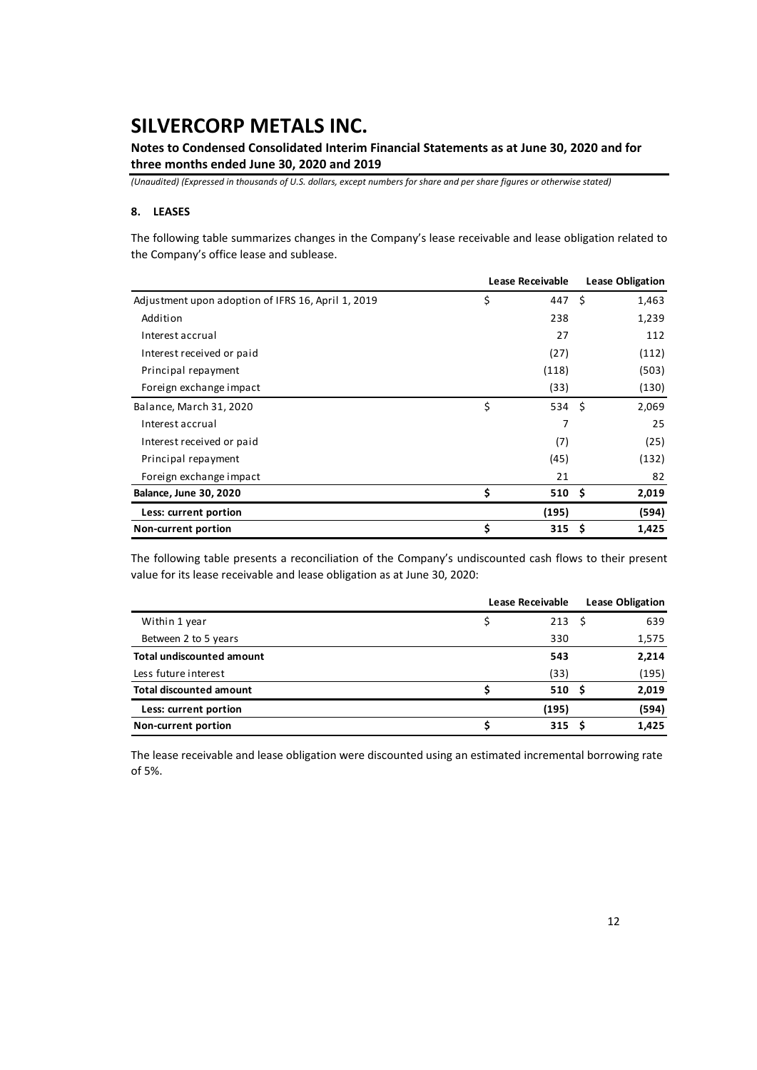**Notes to Condensed Consolidated Interim Financial Statements as at June 30, 2020 and for three months ended June 30, 2020 and 2019** 

*(Unaudited) (Expressed in thousands of U.S. dollars, except numbers for share and per share figures or otherwise stated)*

### **8. LEASES**

The following table summarizes changes in the Company's lease receivable and lease obligation related to the Company's office lease and sublease.

|                                                    | Lease Receivable | <b>Lease Obligation</b> |  |       |
|----------------------------------------------------|------------------|-------------------------|--|-------|
| Adjustment upon adoption of IFRS 16, April 1, 2019 | \$               | 447 S                   |  | 1,463 |
| Addition                                           |                  | 238                     |  | 1,239 |
| Interest accrual                                   |                  | 27                      |  | 112   |
| Interest received or paid                          |                  | (27)                    |  | (112) |
| Principal repayment                                |                  | (118)                   |  | (503) |
| Foreign exchange impact                            |                  | (33)                    |  | (130) |
| Balance, March 31, 2020                            | \$               | 534 \$                  |  | 2,069 |
| Interest accrual                                   |                  | 7                       |  | 25    |
| Interest received or paid                          |                  | (7)                     |  | (25)  |
| Principal repayment                                |                  | (45)                    |  | (132) |
| Foreign exchange impact                            |                  | 21                      |  | 82    |
| <b>Balance, June 30, 2020</b>                      | \$               | $510 \pm$               |  | 2,019 |
| Less: current portion                              |                  | (195)                   |  | (594) |
| Non-current portion                                | \$               | 315S                    |  | 1,425 |

The following table presents a reconciliation of the Company's undiscounted cash flows to their present value for its lease receivable and lease obligation as at June 30, 2020:

|                                  | <b>Lease Receivable</b> | <b>Lease Obligation</b> |  |       |
|----------------------------------|-------------------------|-------------------------|--|-------|
| Within 1 year                    |                         | 213S                    |  | 639   |
| Between 2 to 5 years             |                         | 330                     |  | 1,575 |
| <b>Total undiscounted amount</b> |                         | 543                     |  | 2,214 |
| Less future interest             |                         | (33)                    |  | (195) |
| <b>Total discounted amount</b>   |                         | 510S                    |  | 2,019 |
| Less: current portion            |                         | (195)                   |  | (594) |
| Non-current portion              |                         | 315 <sub>5</sub>        |  | 1,425 |

The lease receivable and lease obligation were discounted using an estimated incremental borrowing rate of 5%.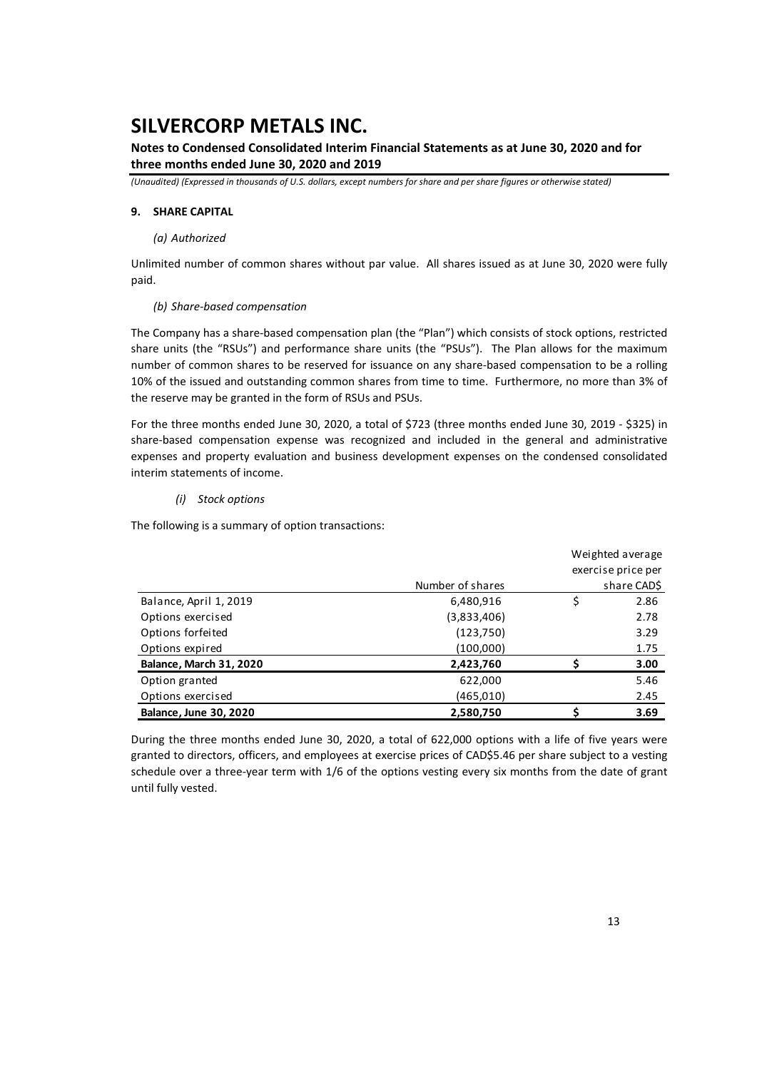## **Notes to Condensed Consolidated Interim Financial Statements as at June 30, 2020 and for three months ended June 30, 2020 and 2019**

*(Unaudited) (Expressed in thousands of U.S. dollars, except numbers for share and per share figures or otherwise stated)*

### **9. SHARE CAPITAL**

### *(a) Authorized*

Unlimited number of common shares without par value. All shares issued as at June 30, 2020 were fully paid.

#### *(b) Share‐based compensation*

The Company has a share‐based compensation plan (the "Plan") which consists of stock options, restricted share units (the "RSUs") and performance share units (the "PSUs"). The Plan allows for the maximum number of common shares to be reserved for issuance on any share‐based compensation to be a rolling 10% of the issued and outstanding common shares from time to time. Furthermore, no more than 3% of the reserve may be granted in the form of RSUs and PSUs.

For the three months ended June 30, 2020, a total of \$723 (three months ended June 30, 2019 ‐ \$325) in share-based compensation expense was recognized and included in the general and administrative expenses and property evaluation and business development expenses on the condensed consolidated interim statements of income.

### *(i) Stock options*

The following is a summary of option transactions:

|                                |                  | Weighted average |                    |  |  |  |
|--------------------------------|------------------|------------------|--------------------|--|--|--|
|                                |                  |                  | exercise price per |  |  |  |
|                                | Number of shares |                  | share CAD\$        |  |  |  |
| Balance, April 1, 2019         | 6,480,916        | \$               | 2.86               |  |  |  |
| Options exercised              | (3,833,406)      |                  | 2.78               |  |  |  |
| Options forfeited              | (123,750)        |                  | 3.29               |  |  |  |
| Options expired                | (100,000)        |                  | 1.75               |  |  |  |
| <b>Balance, March 31, 2020</b> | 2,423,760        |                  | 3.00               |  |  |  |
| Option granted                 | 622,000          |                  | 5.46               |  |  |  |
| Options exercised              | (465,010)        |                  | 2.45               |  |  |  |
| <b>Balance, June 30, 2020</b>  | 2,580,750        |                  | 3.69               |  |  |  |

During the three months ended June 30, 2020, a total of 622,000 options with a life of five years were granted to directors, officers, and employees at exercise prices of CAD\$5.46 per share subject to a vesting schedule over a three-year term with 1/6 of the options vesting every six months from the date of grant until fully vested.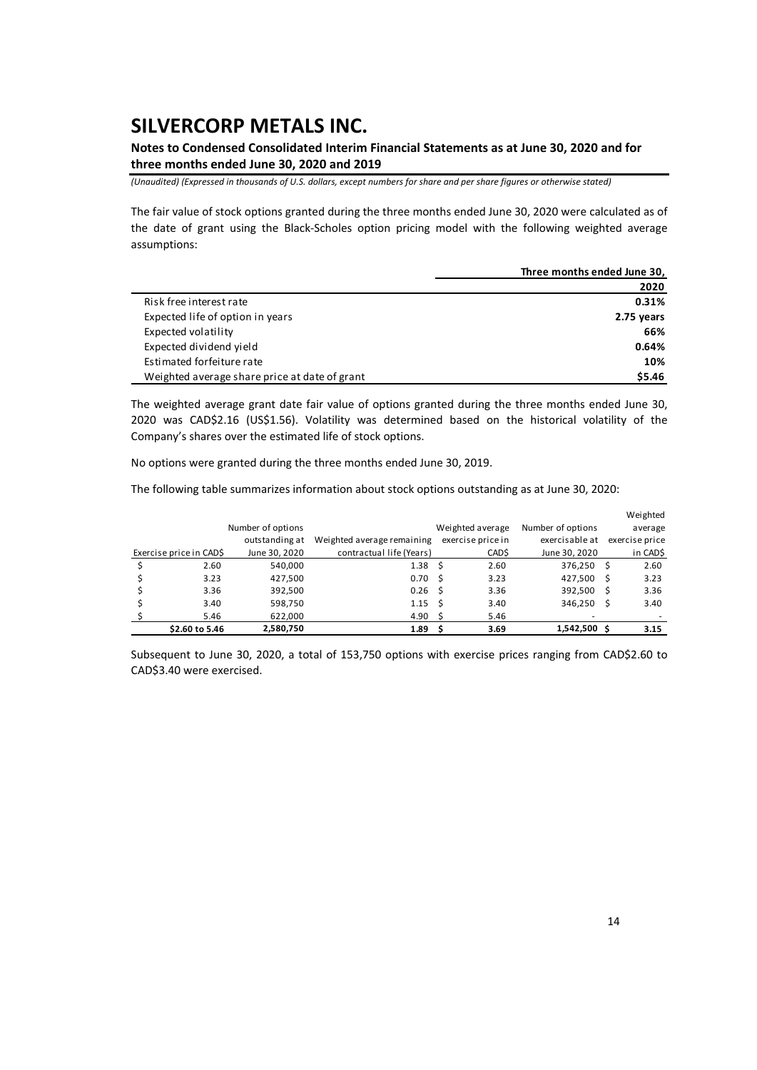**Notes to Condensed Consolidated Interim Financial Statements as at June 30, 2020 and for three months ended June 30, 2020 and 2019** 

*(Unaudited) (Expressed in thousands of U.S. dollars, except numbers for share and per share figures or otherwise stated)*

The fair value of stock options granted during the three months ended June 30, 2020 were calculated as of the date of grant using the Black‐Scholes option pricing model with the following weighted average assumptions:

|                                               | Three months ended June 30, |
|-----------------------------------------------|-----------------------------|
|                                               | 2020                        |
| Risk free interest rate                       | 0.31%                       |
| Expected life of option in years              | 2.75 years                  |
| Expected volatility                           | 66%                         |
| Expected dividend yield                       | 0.64%                       |
| Estimated forfeiture rate                     | 10%                         |
| Weighted average share price at date of grant | \$5.46                      |

The weighted average grant date fair value of options granted during the three months ended June 30, 2020 was CAD\$2.16 (US\$1.56). Volatility was determined based on the historical volatility of the Company's shares over the estimated life of stock options.

No options were granted during the three months ended June 30, 2019.

The following table summarizes information about stock options outstanding as at June 30, 2020:

|                         |                   |                            |    |                   |                   |    | Weighted       |
|-------------------------|-------------------|----------------------------|----|-------------------|-------------------|----|----------------|
|                         | Number of options |                            |    | Weighted average  | Number of options |    | average        |
|                         | outstanding at    | Weighted average remaining |    | exercise price in | exercisable at    |    | exercise price |
| Exercise price in CAD\$ | June 30, 2020     | contractual life (Years)   |    | CAD\$             | June 30, 2020     |    | in CAD\$       |
| 2.60                    | 540.000           | 1.38                       | -S | 2.60              | 376.250           | Ŝ. | 2.60           |
| 3.23                    | 427,500           | 0.70                       | -S | 3.23              | 427,500           | S  | 3.23           |
| 3.36                    | 392,500           | 0.26                       | -Ŝ | 3.36              | 392,500           | Ŝ  | 3.36           |
| 3.40                    | 598,750           | 1.15                       | .s | 3.40              | 346,250           | Ŝ  | 3.40           |
| 5.46                    | 622,000           | 4.90                       |    | 5.46              | -                 |    |                |
| \$2.60 to 5.46          | 2,580,750         | 1.89                       |    | 3.69              | 1,542,500 \$      |    | 3.15           |

Subsequent to June 30, 2020, a total of 153,750 options with exercise prices ranging from CAD\$2.60 to CAD\$3.40 were exercised.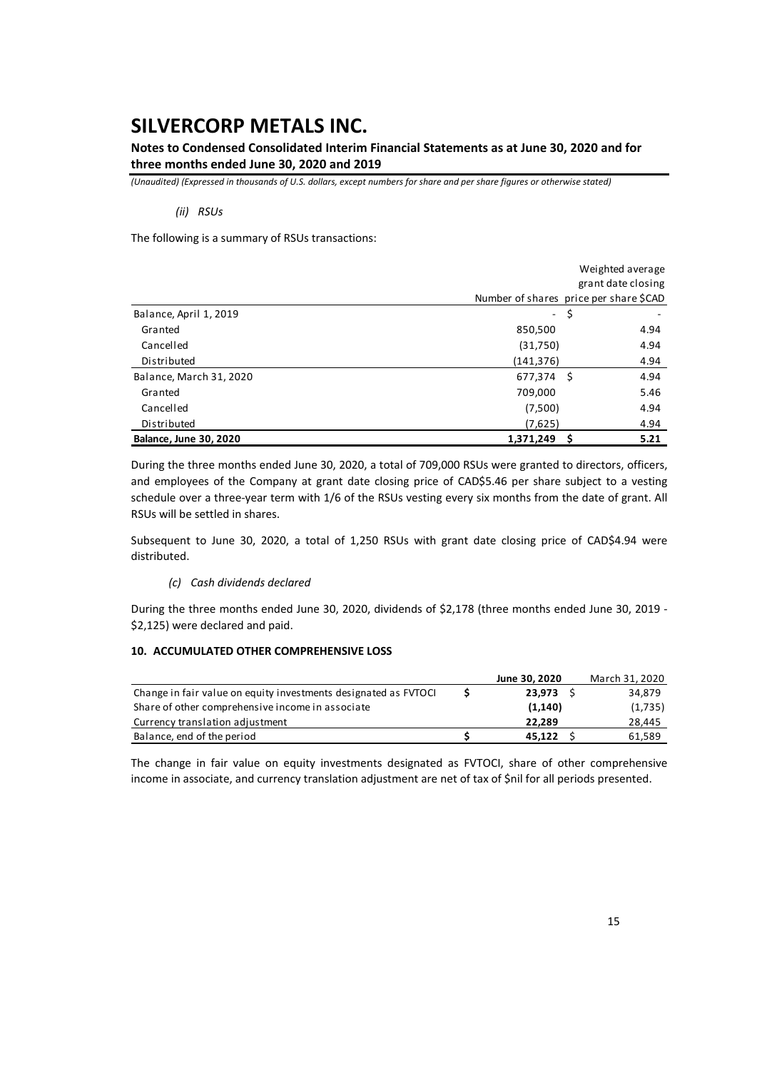## **Notes to Condensed Consolidated Interim Financial Statements as at June 30, 2020 and for three months ended June 30, 2020 and 2019**

*(Unaudited) (Expressed in thousands of U.S. dollars, except numbers for share and per share figures or otherwise stated)*

### *(ii) RSUs*

The following is a summary of RSUs transactions:

|                               |                     | Weighted average                       |
|-------------------------------|---------------------|----------------------------------------|
|                               |                     | grant date closing                     |
|                               |                     | Number of shares price per share \$CAD |
| Balance, April 1, 2019        | $\omega_{\rm{eff}}$ | S                                      |
| Granted                       | 850,500             | 4.94                                   |
| Cancelled                     | (31,750)            | 4.94                                   |
| Distributed                   | (141,376)           | 4.94                                   |
| Balance, March 31, 2020       | $677,374$ \$        | 4.94                                   |
| Granted                       | 709,000             | 5.46                                   |
| Cancelled                     | (7,500)             | 4.94                                   |
| Distributed                   | (7,625)             | 4.94                                   |
| <b>Balance, June 30, 2020</b> | 1,371,249           | 5.21                                   |

During the three months ended June 30, 2020, a total of 709,000 RSUs were granted to directors, officers, and employees of the Company at grant date closing price of CAD\$5.46 per share subject to a vesting schedule over a three-year term with 1/6 of the RSUs vesting every six months from the date of grant. All RSUs will be settled in shares.

Subsequent to June 30, 2020, a total of 1,250 RSUs with grant date closing price of CAD\$4.94 were distributed.

#### *(c) Cash dividends declared*

During the three months ended June 30, 2020, dividends of \$2,178 (three months ended June 30, 2019 ‐ \$2,125) were declared and paid.

### **10. ACCUMULATED OTHER COMPREHENSIVE LOSS**

|                                                                 | June 30, 2020 | March 31, 2020 |
|-----------------------------------------------------------------|---------------|----------------|
| Change in fair value on equity investments designated as FVTOCI | 23.973        | 34,879         |
| Share of other comprehensive income in associate                | (1, 140)      | (1,735)        |
| Currency translation adjustment                                 | 22.289        | 28.445         |
| Balance, end of the period                                      | 45.122        | 61,589         |

The change in fair value on equity investments designated as FVTOCI, share of other comprehensive income in associate, and currency translation adjustment are net of tax of \$nil for all periods presented.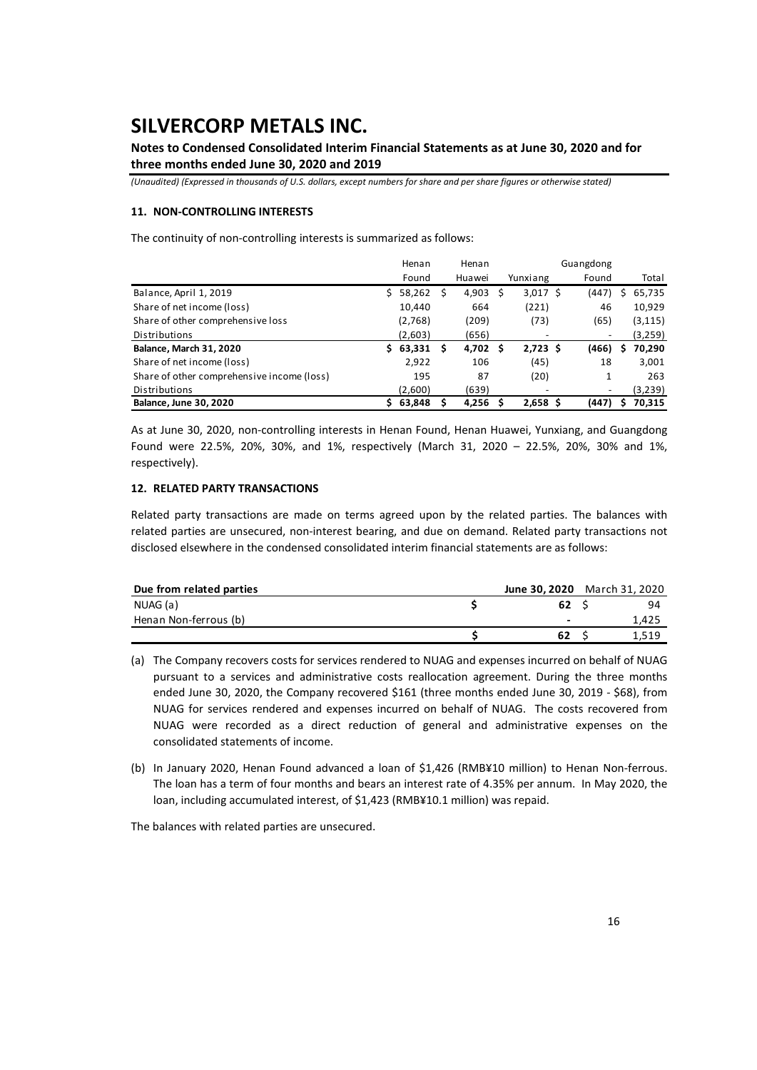## **Notes to Condensed Consolidated Interim Financial Statements as at June 30, 2020 and for three months ended June 30, 2020 and 2019**

*(Unaudited) (Expressed in thousands of U.S. dollars, except numbers for share and per share figures or otherwise stated)*

### **11. NON‐CONTROLLING INTERESTS**

The continuity of non‐controlling interests is summarized as follows:

|                                            |    | Henan   |   | Henan  |   | Guangdong  |  |                          |   |          |
|--------------------------------------------|----|---------|---|--------|---|------------|--|--------------------------|---|----------|
|                                            |    | Found   |   | Huawei |   | Yunxiang   |  | Found                    |   | Total    |
| Balance, April 1, 2019                     |    | 58,262  | S | 4,903  | S | $3,017$ \$ |  | (447)                    | s | 65,735   |
| Share of net income (loss)                 |    | 10,440  |   | 664    |   | (221)      |  | 46                       |   | 10,929   |
| Share of other comprehensive loss          |    | (2,768) |   | (209)  |   | (73)       |  | (65)                     |   | (3, 115) |
| Distributions                              |    | (2,603) |   | (656)  |   |            |  |                          |   | (3,259)  |
| Balance, March 31, 2020                    | S. | 63,331  | S | 4,702  | S | $2,723$ \$ |  | (466)                    | S | 70,290   |
| Share of net income (loss)                 |    | 2,922   |   | 106    |   | (45)       |  | 18                       |   | 3,001    |
| Share of other comprehensive income (loss) |    | 195     |   | 87     |   | (20)       |  | 1                        |   | 263      |
| Distributions                              |    | (2,600) |   | (639)  |   | -          |  | $\overline{\phantom{a}}$ |   | (3,239)  |
| <b>Balance, June 30, 2020</b>              | S. | 63.848  |   | 4.256  |   | $2,658$ \$ |  | (447)                    | s | 70.315   |

As at June 30, 2020, non‐controlling interests in Henan Found, Henan Huawei, Yunxiang, and Guangdong Found were 22.5%, 20%, 30%, and 1%, respectively (March 31, 2020 – 22.5%, 20%, 30% and 1%, respectively).

### **12. RELATED PARTY TRANSACTIONS**

Related party transactions are made on terms agreed upon by the related parties. The balances with related parties are unsecured, non‐interest bearing, and due on demand. Related party transactions not disclosed elsewhere in the condensed consolidated interim financial statements are as follows:

| Due from related parties | June 30, 2020 | March 31, 2020 |
|--------------------------|---------------|----------------|
| NUAG (a)                 | 62            | 94             |
| Henan Non-ferrous (b)    | -             | 1.425          |
|                          | 62            | 1.519          |

- (a) The Company recovers costs for services rendered to NUAG and expenses incurred on behalf of NUAG pursuant to a services and administrative costs reallocation agreement. During the three months ended June 30, 2020, the Company recovered \$161 (three months ended June 30, 2019 - \$68), from NUAG for services rendered and expenses incurred on behalf of NUAG. The costs recovered from NUAG were recorded as a direct reduction of general and administrative expenses on the consolidated statements of income.
- (b) In January 2020, Henan Found advanced a loan of \$1,426 (RMB¥10 million) to Henan Non‐ferrous. The loan has a term of four months and bears an interest rate of 4.35% per annum. In May 2020, the loan, including accumulated interest, of \$1,423 (RMB¥10.1 million) was repaid.

The balances with related parties are unsecured.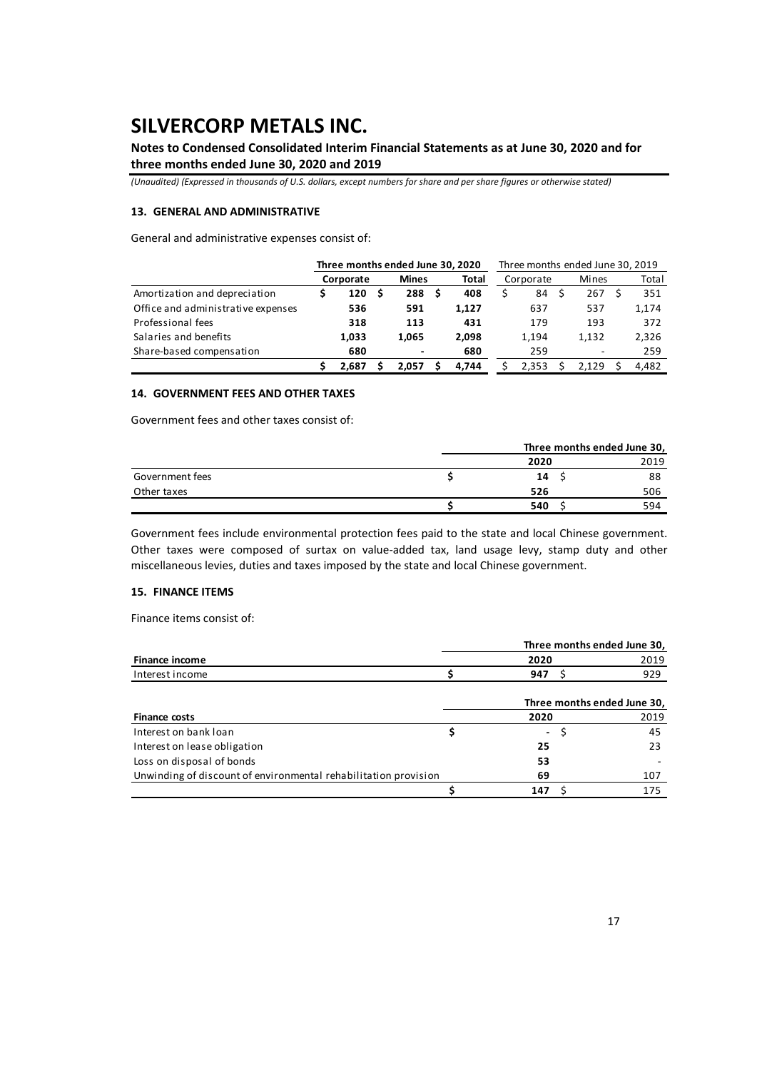## **Notes to Condensed Consolidated Interim Financial Statements as at June 30, 2020 and for three months ended June 30, 2020 and 2019**

*(Unaudited) (Expressed in thousands of U.S. dollars, except numbers for share and per share figures or otherwise stated)*

### **13. GENERAL AND ADMINISTRATIVE**

General and administrative expenses consist of:

|                                    | Three months ended June 30, 2020 |  |              | Three months ended June 30, 2019 |       |  |           |  |       |  |       |
|------------------------------------|----------------------------------|--|--------------|----------------------------------|-------|--|-----------|--|-------|--|-------|
|                                    | Corporate                        |  | <b>Mines</b> |                                  | Total |  | Corporate |  | Mines |  | Total |
| Amortization and depreciation      | 120                              |  | 288          |                                  | 408   |  | 84        |  | 267   |  | 351   |
| Office and administrative expenses | 536                              |  | 591          |                                  | 1.127 |  | 637       |  | 537   |  | 1,174 |
| Professional fees                  | 318                              |  | 113          |                                  | 431   |  | 179       |  | 193   |  | 372   |
| Salaries and benefits              | 1.033                            |  | 1.065        |                                  | 2.098 |  | 1,194     |  | 1,132 |  | 2,326 |
| Share-based compensation           | 680                              |  | -            |                                  | 680   |  | 259       |  | ٠     |  | 259   |
|                                    | 2.687                            |  | 2.057        |                                  | 4.744 |  | 2.353     |  | 2.129 |  | 4.482 |

#### **14. GOVERNMENT FEES AND OTHER TAXES**

Government fees and other taxes consist of:

|                 |      | Three months ended June 30, |
|-----------------|------|-----------------------------|
|                 | 2020 | 2019                        |
| Government fees | 14   | 88                          |
| Other taxes     | 526  | 506                         |
|                 | 540  | 594                         |

Government fees include environmental protection fees paid to the state and local Chinese government. Other taxes were composed of surtax on value‐added tax, land usage levy, stamp duty and other miscellaneous levies, duties and taxes imposed by the state and local Chinese government.

### **15. FINANCE ITEMS**

Finance items consist of:

|                                                                 |                          | Three months ended June 30, |
|-----------------------------------------------------------------|--------------------------|-----------------------------|
| Finance income                                                  | 2020                     | 2019                        |
| Interest income                                                 | 947                      | 929                         |
|                                                                 |                          | Three months ended June 30, |
| <b>Finance costs</b>                                            | 2020                     | 2019                        |
| Interest on bank loan                                           | $\overline{\phantom{0}}$ | 45                          |
| Interest on lease obligation                                    | 25                       | 23                          |
| Loss on disposal of bonds                                       | 53                       |                             |
| Unwinding of discount of environmental rehabilitation provision | 69                       | 107                         |
|                                                                 | 147                      | 175                         |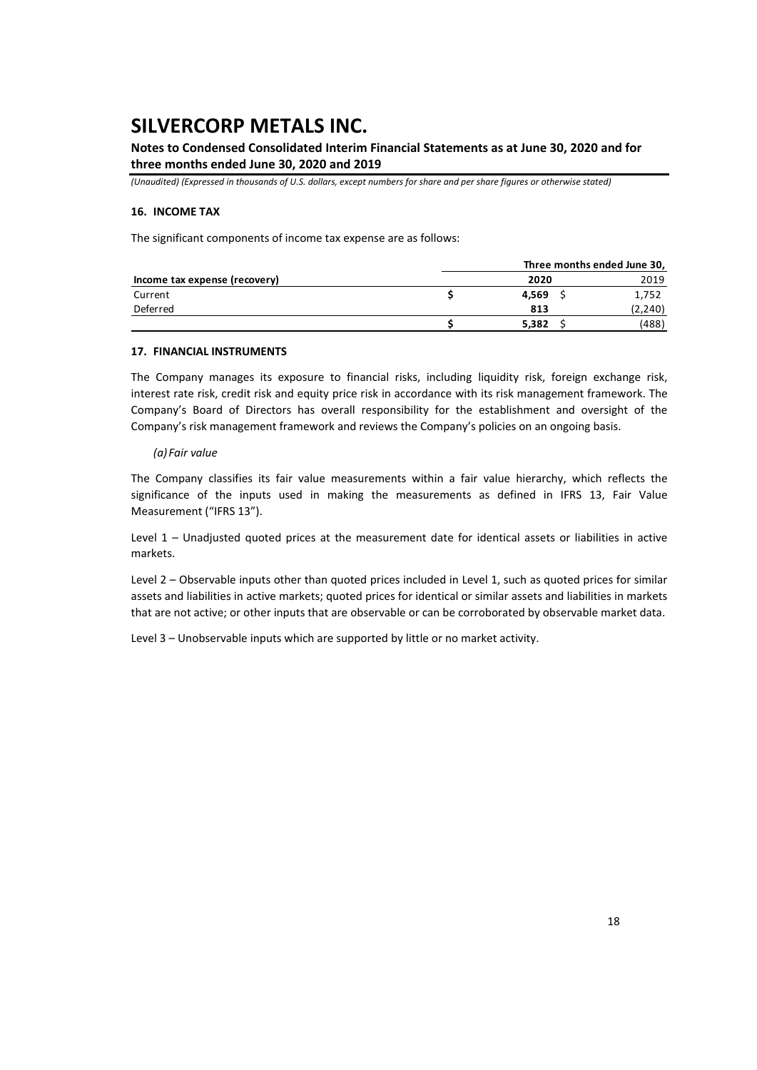## **Notes to Condensed Consolidated Interim Financial Statements as at June 30, 2020 and for three months ended June 30, 2020 and 2019**

*(Unaudited) (Expressed in thousands of U.S. dollars, except numbers for share and per share figures or otherwise stated)*

### **16. INCOME TAX**

The significant components of income tax expense are as follows:

|                               | Three months ended June 30, |         |  |  |  |  |  |  |  |  |
|-------------------------------|-----------------------------|---------|--|--|--|--|--|--|--|--|
| Income tax expense (recovery) | 2020                        | 2019    |  |  |  |  |  |  |  |  |
| Current                       | 4.569                       | 1,752   |  |  |  |  |  |  |  |  |
| Deferred                      | 813                         | (2,240) |  |  |  |  |  |  |  |  |
|                               | 5.382                       | (488)   |  |  |  |  |  |  |  |  |

### **17. FINANCIAL INSTRUMENTS**

The Company manages its exposure to financial risks, including liquidity risk, foreign exchange risk, interest rate risk, credit risk and equity price risk in accordance with its risk management framework. The Company's Board of Directors has overall responsibility for the establishment and oversight of the Company's risk management framework and reviews the Company's policies on an ongoing basis.

### *(a)Fair value*

The Company classifies its fair value measurements within a fair value hierarchy, which reflects the significance of the inputs used in making the measurements as defined in IFRS 13, Fair Value Measurement ("IFRS 13").

Level  $1$  – Unadjusted quoted prices at the measurement date for identical assets or liabilities in active markets.

Level 2 – Observable inputs other than quoted prices included in Level 1, such as quoted prices for similar assets and liabilities in active markets; quoted prices for identical or similar assets and liabilities in markets that are not active; or other inputs that are observable or can be corroborated by observable market data.

Level 3 – Unobservable inputs which are supported by little or no market activity.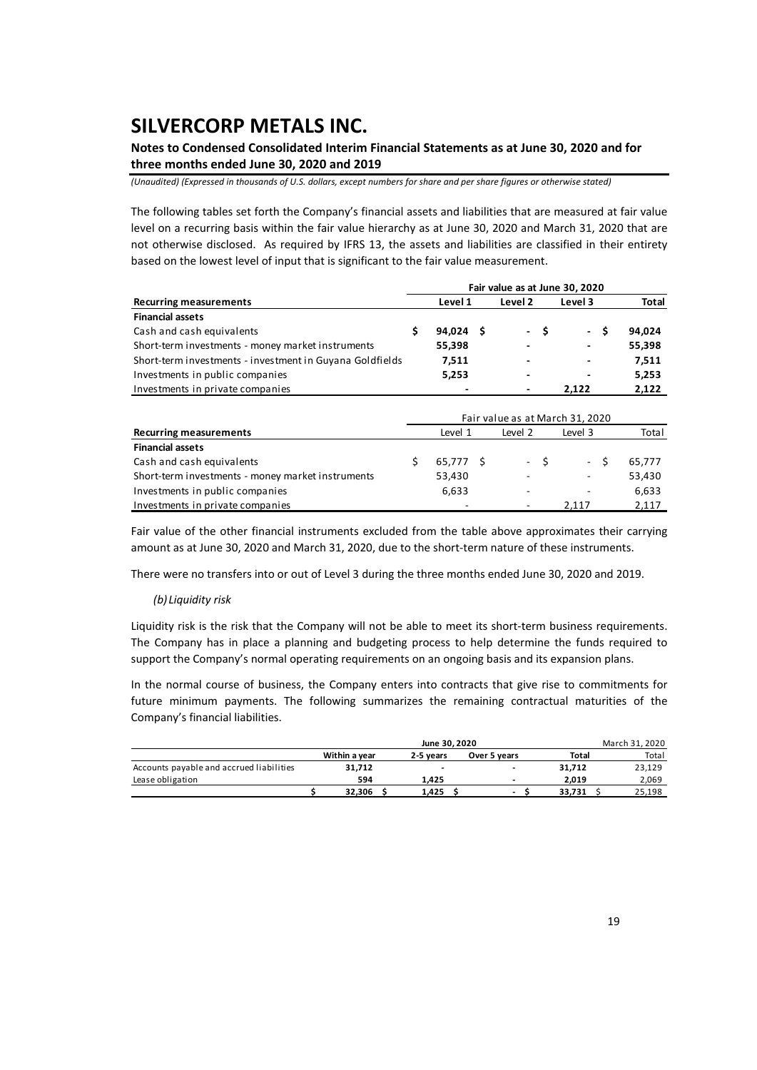## **Notes to Condensed Consolidated Interim Financial Statements as at June 30, 2020 and for three months ended June 30, 2020 and 2019**

*(Unaudited) (Expressed in thousands of U.S. dollars, except numbers for share and per share figures or otherwise stated)*

The following tables set forth the Company's financial assets and liabilities that are measured at fair value level on a recurring basis within the fair value hierarchy as at June 30, 2020 and March 31, 2020 that are not otherwise disclosed. As required by IFRS 13, the assets and liabilities are classified in their entirety based on the lowest level of input that is significant to the fair value measurement.

|                                                          |          | Fair value as at June 30, 2020 |      |         |          |        |
|----------------------------------------------------------|----------|--------------------------------|------|---------|----------|--------|
| <b>Recurring measurements</b>                            | Level 1  | Level 2                        |      | Level 3 |          | Total  |
| <b>Financial assets</b>                                  |          |                                |      |         |          |        |
| Cash and cash equivalents                                | 94.024 S |                                | - \$ | $\sim$  | <b>S</b> | 94.024 |
| Short-term investments - money market instruments        | 55.398   | $\overline{\phantom{a}}$       |      | ٠       |          | 55,398 |
| Short-term investments - investment in Guyana Goldfields | 7.511    | $\overline{\phantom{0}}$       |      | ٠       |          | 7,511  |
| Investments in public companies                          | 5,253    | ٠                              |      | ٠       |          | 5,253  |
| Investments in private companies                         |          |                                |      | 2.122   |          | 2,122  |
|                                                          |          |                                |      |         |          |        |

| <b>Recurring measurements</b>                     |  | Level 1   | Level 2 | Level 3 | Total  |
|---------------------------------------------------|--|-----------|---------|---------|--------|
| <b>Financial assets</b>                           |  |           |         |         |        |
| Cash and cash equivalents                         |  | 65.777 \$ | $-S$    | $-S$    | 65.777 |
| Short-term investments - money market instruments |  | 53,430    | ۰.      | ۰       | 53,430 |
| Investments in public companies                   |  | 6,633     | -       |         | 6,633  |
| Investments in private companies                  |  |           | ۰       | 2.117   | 2,117  |

Fair value of the other financial instruments excluded from the table above approximates their carrying amount as at June 30, 2020 and March 31, 2020, due to the short-term nature of these instruments.

There were no transfers into or out of Level 3 during the three months ended June 30, 2020 and 2019.

#### *(b) Liquidity risk*

Liquidity risk is the risk that the Company will not be able to meet its short‐term business requirements. The Company has in place a planning and budgeting process to help determine the funds required to support the Company's normal operating requirements on an ongoing basis and its expansion plans.

In the normal course of business, the Company enters into contracts that give rise to commitments for future minimum payments. The following summarizes the remaining contractual maturities of the Company's financial liabilities.

|                                          |               | June 30, 2020<br>March 31, 2020 |              |              |        |  |  |  |  |  |  |  |  |
|------------------------------------------|---------------|---------------------------------|--------------|--------------|--------|--|--|--|--|--|--|--|--|
|                                          | Within a year | 2-5 vears                       | Over 5 years | <b>Total</b> | Total  |  |  |  |  |  |  |  |  |
| Accounts payable and accrued liabilities | 31.712        |                                 | -<br>۰       | 31.712       | 23,129 |  |  |  |  |  |  |  |  |
| Lease obligation                         | 594           | 1.425                           | ۰            | 2.019        | 2.069  |  |  |  |  |  |  |  |  |
|                                          | 32.306        | 1.425                           |              | 33.731       | 25,198 |  |  |  |  |  |  |  |  |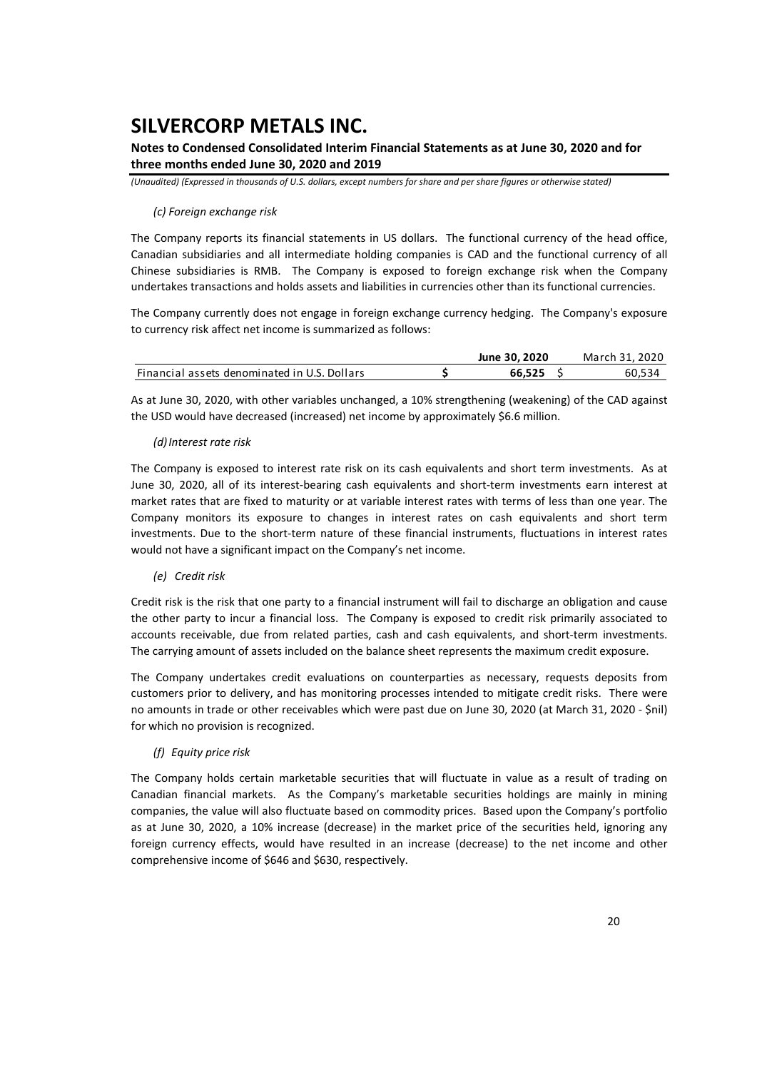## **Notes to Condensed Consolidated Interim Financial Statements as at June 30, 2020 and for three months ended June 30, 2020 and 2019**

*(Unaudited) (Expressed in thousands of U.S. dollars, except numbers for share and per share figures or otherwise stated)*

### *(c) Foreign exchange risk*

The Company reports its financial statements in US dollars. The functional currency of the head office, Canadian subsidiaries and all intermediate holding companies is CAD and the functional currency of all Chinese subsidiaries is RMB. The Company is exposed to foreign exchange risk when the Company undertakes transactions and holds assets and liabilities in currencies other than its functional currencies.

The Company currently does not engage in foreign exchange currency hedging. The Company's exposure to currency risk affect net income is summarized as follows:

|                                              | June 30, 2020 | March 31, 2020 |
|----------------------------------------------|---------------|----------------|
| Financial assets denominated in U.S. Dollars | 66.525        | 60.534         |

As at June 30, 2020, with other variables unchanged, a 10% strengthening (weakening) of the CAD against the USD would have decreased (increased) net income by approximately \$6.6 million.

### *(d)Interest rate risk*

The Company is exposed to interest rate risk on its cash equivalents and short term investments. As at June 30, 2020, all of its interest‐bearing cash equivalents and short‐term investments earn interest at market rates that are fixed to maturity or at variable interest rates with terms of less than one year. The Company monitors its exposure to changes in interest rates on cash equivalents and short term investments. Due to the short-term nature of these financial instruments, fluctuations in interest rates would not have a significant impact on the Company's net income.

#### *(e) Credit risk*

Credit risk is the risk that one party to a financial instrument will fail to discharge an obligation and cause the other party to incur a financial loss. The Company is exposed to credit risk primarily associated to accounts receivable, due from related parties, cash and cash equivalents, and short‐term investments. The carrying amount of assets included on the balance sheet represents the maximum credit exposure.

The Company undertakes credit evaluations on counterparties as necessary, requests deposits from customers prior to delivery, and has monitoring processes intended to mitigate credit risks. There were no amounts in trade or other receivables which were past due on June 30, 2020 (at March 31, 2020 ‐ \$nil) for which no provision is recognized.

### *(f) Equity price risk*

The Company holds certain marketable securities that will fluctuate in value as a result of trading on Canadian financial markets. As the Company's marketable securities holdings are mainly in mining companies, the value will also fluctuate based on commodity prices. Based upon the Company's portfolio as at June 30, 2020, a 10% increase (decrease) in the market price of the securities held, ignoring any foreign currency effects, would have resulted in an increase (decrease) to the net income and other comprehensive income of \$646 and \$630, respectively.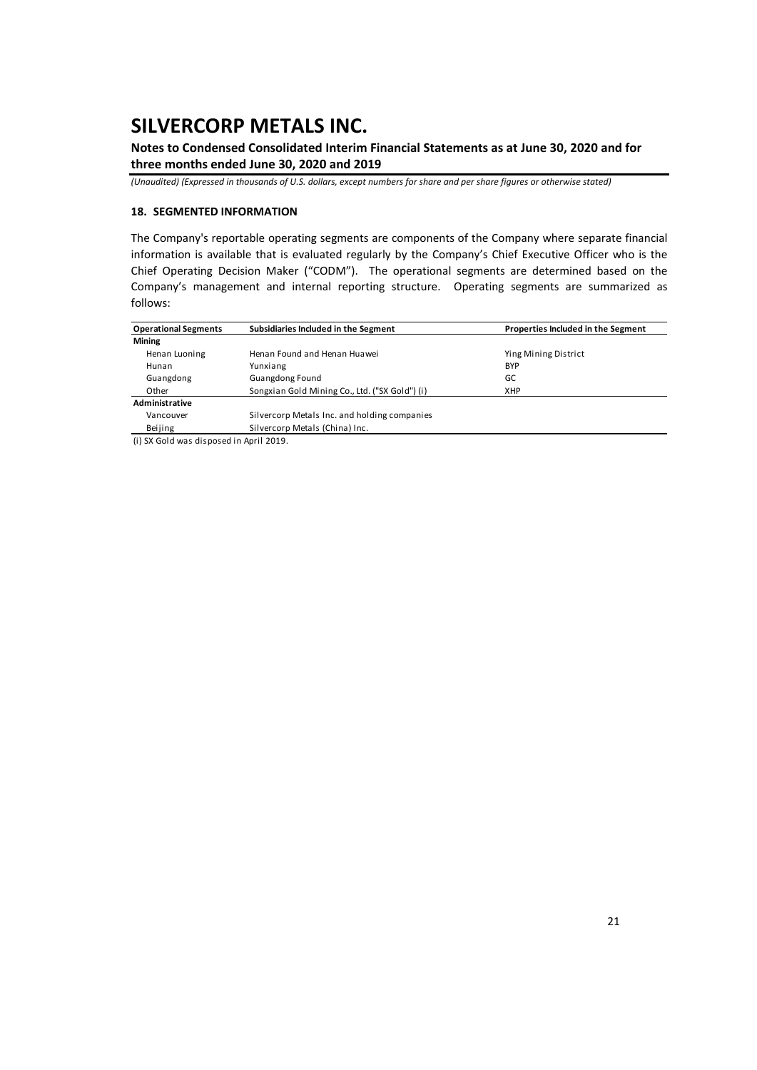**Notes to Condensed Consolidated Interim Financial Statements as at June 30, 2020 and for three months ended June 30, 2020 and 2019** 

*(Unaudited) (Expressed in thousands of U.S. dollars, except numbers for share and per share figures or otherwise stated)*

### **18. SEGMENTED INFORMATION**

The Company's reportable operating segments are components of the Company where separate financial information is available that is evaluated regularly by the Company's Chief Executive Officer who is the Chief Operating Decision Maker ("CODM"). The operational segments are determined based on the Company's management and internal reporting structure. Operating segments are summarized as follows:

| <b>Operational Segments</b>        | Subsidiaries Included in the Segment           | Properties Included in the Segment |
|------------------------------------|------------------------------------------------|------------------------------------|
| <b>Mining</b>                      |                                                |                                    |
| Henan Luoning                      | Henan Found and Henan Huawei                   | Ying Mining District               |
| Hunan                              | Yunxiang                                       | <b>BYP</b>                         |
| Guangdong                          | Guangdong Found                                | GC                                 |
| Other                              | Songxian Gold Mining Co., Ltd. ("SX Gold") (i) | <b>XHP</b>                         |
| Administrative                     |                                                |                                    |
| Vancouver                          | Silvercorp Metals Inc. and holding companies   |                                    |
| Beijing                            | Silvercorp Metals (China) Inc.                 |                                    |
| $\cdots$ and $\cdots$<br>$\cdot$ . | .                                              |                                    |

(i) SX Gold was disposed in April 2019.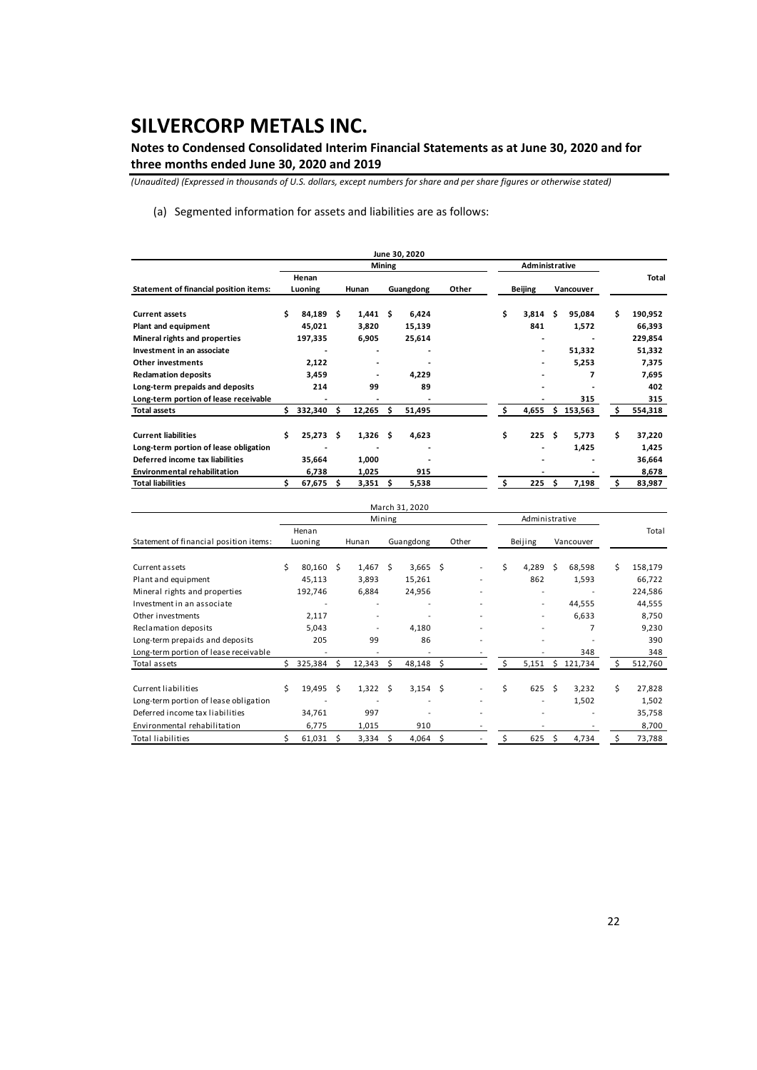**Notes to Condensed Consolidated Interim Financial Statements as at June 30, 2020 and for three months ended June 30, 2020 and 2019** 

*(Unaudited) (Expressed in thousands of U.S. dollars, except numbers for share and per share figures or otherwise stated)*

(a) Segmented information for assets and liabilities are as follows:

|                                        |     |             |     |            |               | June 30, 2020 |       |    |                |     |           |   |              |
|----------------------------------------|-----|-------------|-----|------------|---------------|---------------|-------|----|----------------|-----|-----------|---|--------------|
|                                        |     |             |     |            | <b>Mining</b> |               |       |    | Administrative |     |           |   |              |
|                                        |     | Henan       |     |            |               |               |       |    |                |     |           |   | <b>Total</b> |
| Statement of financial position items: |     | Luoning     |     | Hunan      |               | Guangdong     | Other |    | <b>Beijing</b> |     | Vancouver |   |              |
|                                        |     |             |     |            |               |               |       |    |                |     |           |   |              |
| <b>Current assets</b>                  | \$  | 84.189      | \$. | 1,441      | Ŝ             | 6,424         |       | Ś. | 3.814          | Ŝ   | 95.084    | Ś | 190,952      |
| Plant and equipment                    |     | 45,021      |     | 3,820      |               | 15,139        |       |    | 841            |     | 1,572     |   | 66,393       |
| Mineral rights and properties          |     | 197,335     |     | 6,905      |               | 25,614        |       |    | ۰              |     |           |   | 229,854      |
| Investment in an associate             |     | ٠           |     |            |               | ۰             |       |    | ٠              |     | 51,332    |   | 51,332       |
| Other investments                      |     | 2,122       |     |            |               |               |       |    |                |     | 5,253     |   | 7,375        |
| <b>Reclamation deposits</b>            |     | 3,459       |     |            |               | 4,229         |       |    |                |     | 7         |   | 7,695        |
| Long-term prepaids and deposits        |     | 214         |     | 99         |               | 89            |       |    |                |     |           |   | 402          |
| Long-term portion of lease receivable  |     |             |     |            |               |               |       |    |                |     | 315       |   | 315          |
| <b>Total assets</b>                    | \$. | 332,340     | s   | 12,265     |               | 51,495        |       | Ś  | 4,655          | Ŝ.  | 153,563   | Ś | 554,318      |
|                                        |     |             |     |            |               |               |       |    |                |     |           |   |              |
| <b>Current liabilities</b>             | Ś   | $25.273$ \$ |     | $1,326$ \$ |               | 4,623         |       | \$ | 225            | Ŝ.  | 5.773     | Ś | 37,220       |
| Long-term portion of lease obligation  |     |             |     |            |               | ۰             |       |    |                |     | 1,425     |   | 1,425        |
| Deferred income tax liabilities        |     | 35,664      |     | 1,000      |               | -             |       |    |                |     |           |   | 36,664       |
| <b>Environmental rehabilitation</b>    |     | 6,738       |     | 1,025      |               | 915           |       |    |                |     |           |   | 8,678        |
| <b>Total liabilities</b>               | s   | 67,675      |     | 3,351      | s             | 5,538         |       | \$ | 225            | \$. | 7,198     | Ś | 83,987       |

|                                        |    |             |    |                          |        | March 31, 2020 |     |                          |    |                          |    |           |   |         |
|----------------------------------------|----|-------------|----|--------------------------|--------|----------------|-----|--------------------------|----|--------------------------|----|-----------|---|---------|
|                                        |    |             |    |                          | Mining |                |     |                          |    | Administrative           |    |           |   |         |
|                                        |    | Henan       |    |                          |        |                |     |                          |    |                          |    |           |   | Total   |
| Statement of financial position items: |    | Luoning     |    | Hunan                    |        | Guangdong      |     | Other                    |    | Beijing                  |    | Vancouver |   |         |
|                                        |    |             |    |                          |        |                |     |                          |    |                          |    |           |   |         |
| Current assets                         | Ś  | $80,160$ \$ |    | $1,467$ \$               |        | $3,665$ \$     |     |                          | \$ | 4,289                    | Ŝ. | 68,598    | Ś | 158,179 |
| Plant and equipment                    |    | 45,113      |    | 3,893                    |        | 15,261         |     |                          |    | 862                      |    | 1,593     |   | 66,722  |
| Mineral rights and properties          |    | 192,746     |    | 6,884                    |        | 24,956         |     |                          |    |                          |    |           |   | 224,586 |
| Investment in an associate             |    |             |    |                          |        |                |     |                          |    | $\overline{\phantom{a}}$ |    | 44,555    |   | 44,555  |
| Other investments                      |    | 2,117       |    |                          |        |                |     |                          |    | $\overline{\phantom{a}}$ |    | 6,633     |   | 8,750   |
| Reclamation deposits                   |    | 5,043       |    | $\overline{\phantom{a}}$ |        | 4,180          |     |                          |    | $\overline{\phantom{a}}$ |    | 7         |   | 9,230   |
| Long-term prepaids and deposits        |    | 205         |    | 99                       |        | 86             |     | $\overline{\phantom{0}}$ |    |                          |    |           |   | 390     |
| Long-term portion of lease receivable  |    |             |    |                          |        |                |     |                          |    |                          |    | 348       |   | 348     |
| Total assets                           | Ś. | 325,384     | \$ | 12,343                   | Ś      | 48,148         | -\$ |                          | \$ | 5,151                    | Ŝ. | 121,734   | s | 512,760 |
|                                        |    |             |    |                          |        |                |     |                          |    |                          |    |           |   |         |
| <b>Current liabilities</b>             | Ś. | 19,495      | Ś. | $1,322$ \$               |        | $3,154$ \$     |     |                          | \$ | 625                      | Ŝ. | 3,232     | Ś | 27,828  |
| Long-term portion of lease obligation  |    |             |    |                          |        |                |     |                          |    |                          |    | 1,502     |   | 1,502   |
| Deferred income tax liabilities        |    | 34,761      |    | 997                      |        |                |     |                          |    |                          |    |           |   | 35,758  |
| Environmental rehabilitation           |    | 6,775       |    | 1,015                    |        | 910            |     |                          |    |                          |    |           |   | 8,700   |
| <b>Total liabilities</b>               |    | 61,031      | S  | 3,334                    | S      | 4,064          | \$  |                          |    | 625                      | Ŝ  | 4,734     |   | 73,788  |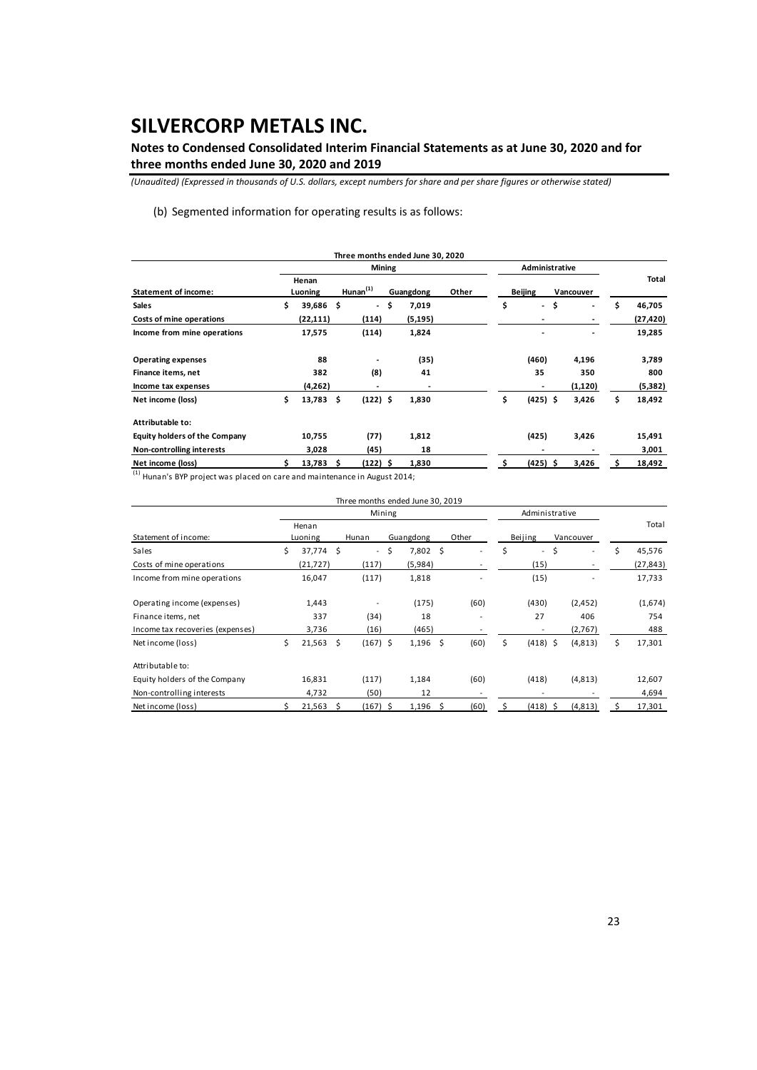**Notes to Condensed Consolidated Interim Financial Statements as at June 30, 2020 and for three months ended June 30, 2020 and 2019** 

*(Unaudited) (Expressed in thousands of U.S. dollars, except numbers for share and per share figures or otherwise stated)*

(b) Segmented information for operating results is as follows:

|                                      |                  |     |                          |               | Three months ended June 30, 2020 |       |                                |                                |              |
|--------------------------------------|------------------|-----|--------------------------|---------------|----------------------------------|-------|--------------------------------|--------------------------------|--------------|
|                                      |                  |     |                          | <b>Mining</b> |                                  |       | Administrative                 |                                |              |
| <b>Statement of income:</b>          | Henan<br>Luoning |     | Hunan <sup>(1)</sup>     |               | Guangdong                        | Other | <b>Beijing</b>                 | Vancouver                      | Total        |
| Sales                                | \$<br>39,686     | \$  | $\overline{\phantom{a}}$ | -\$           | 7,019                            |       | \$<br>$\overline{\phantom{a}}$ | \$<br>$\overline{\phantom{a}}$ | \$<br>46,705 |
| Costs of mine operations             | (22, 111)        |     | (114)                    |               | (5,195)                          |       |                                |                                | (27,420)     |
| Income from mine operations          | 17,575           |     | (114)                    |               | 1,824                            |       |                                |                                | 19,285       |
| <b>Operating expenses</b>            | 88               |     | ٠                        |               | (35)                             |       | (460)                          | 4,196                          | 3,789        |
| Finance items, net                   | 382              |     | (8)                      |               | 41                               |       | 35                             | 350                            | 800          |
| Income tax expenses                  | (4,262)          |     |                          |               |                                  |       |                                | (1, 120)                       | (5, 382)     |
| Net income (loss)                    | \$<br>13,783     | -\$ | $(122)$ \$               |               | 1,830                            |       | \$<br>$(425)$ \$               | 3,426                          | \$<br>18,492 |
| Attributable to:                     |                  |     |                          |               |                                  |       |                                |                                |              |
| <b>Equity holders of the Company</b> | 10,755           |     | (77)                     |               | 1,812                            |       | (425)                          | 3,426                          | 15,491       |
| Non-controlling interests            | 3,028            |     | (45)                     |               | 18                               |       | ٠                              |                                | 3,001        |
| Net income (loss)                    | $13,783 \quad $$ |     | (122) \$                 |               | 1,830                            |       | $(425)$ \$                     | 3,426                          | 18,492       |
| $\lambda$                            |                  |     |                          |               |                                  |       |                                |                                |              |

 $^{(1)}$  Hunan's BYP project was placed on care and maintenance in August 2014;

|                                  |                  |     | Three months ended June 30, 2019 |    |           |    |       |         |                          |           |    |           |
|----------------------------------|------------------|-----|----------------------------------|----|-----------|----|-------|---------|--------------------------|-----------|----|-----------|
|                                  |                  |     | Mining                           |    |           |    |       |         | Administrative           |           |    |           |
| Statement of income:             | Henan<br>Luoning |     | Hunan                            |    | Guangdong |    | Other | Beijing |                          | Vancouver |    | Total     |
| Sales                            | \$<br>37,774 \$  |     | $\sim$                           | \$ | 7,802     | \$ |       | \$      | $\overline{\phantom{a}}$ | \$<br>-   | Ś  | 45,576    |
| Costs of mine operations         | (21, 727)        |     | (117)                            |    | (5,984)   |    |       |         | (15)                     |           |    | (27, 843) |
| Income from mine operations      | 16,047           |     | (117)                            |    | 1,818     |    |       |         | (15)                     |           |    | 17,733    |
| Operating income (expenses)      | 1,443            |     |                                  |    | (175)     |    | (60)  |         | (430)                    | (2, 452)  |    | (1,674)   |
| Finance items, net               | 337              |     | (34)                             |    | 18        |    |       |         | 27                       | 406       |    | 754       |
| Income tax recoveries (expenses) | 3,736            |     | (16)                             |    | (465)     |    |       |         | -                        | (2,767)   |    | 488       |
| Net income (loss)                | \$<br>21,563     | \$. | $(167)$ \$                       |    | 1,196     | \$ | (60)  | \$      | $(418)$ \$               | (4,813)   | Ś. | 17,301    |
| Attributable to:                 |                  |     |                                  |    |           |    |       |         |                          |           |    |           |
| Equity holders of the Company    | 16,831           |     | (117)                            |    | 1,184     |    | (60)  |         | (418)                    | (4,813)   |    | 12,607    |
| Non-controlling interests        | 4,732            |     | (50)                             |    | 12        |    |       |         |                          |           |    | 4,694     |
| Net income (loss)                | 21,563           | \$  | $(167)$ \$                       |    | 1,196     | Ŝ  | (60)  | Ś       | (418) \$                 | (4, 813)  |    | 17,301    |